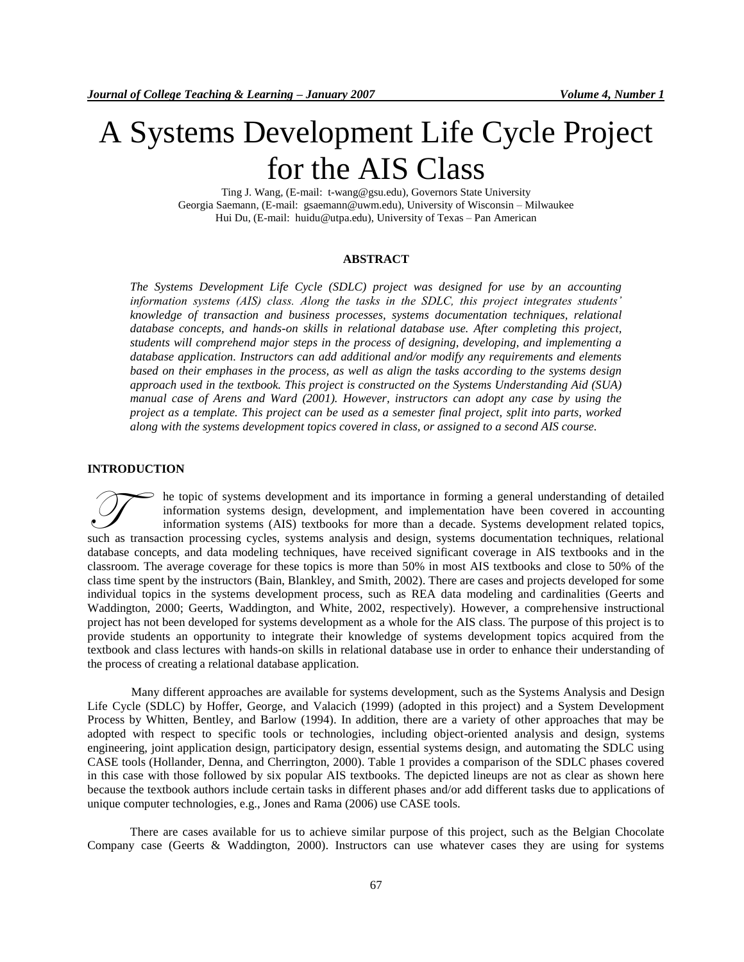# A Systems Development Life Cycle Project for the AIS Class

Ting J. Wang, (E-mail: t-wang@gsu.edu), Governors State University Georgia Saemann, (E-mail: gsaemann@uwm.edu), University of Wisconsin – Milwaukee Hui Du, (E-mail: huidu@utpa.edu), University of Texas – Pan American

## **ABSTRACT**

*The Systems Development Life Cycle (SDLC) project was designed for use by an accounting information systems (AIS) class. Along the tasks in the SDLC, this project integrates students' knowledge of transaction and business processes, systems documentation techniques, relational database concepts, and hands-on skills in relational database use. After completing this project, students will comprehend major steps in the process of designing, developing, and implementing a database application. Instructors can add additional and/or modify any requirements and elements based on their emphases in the process, as well as align the tasks according to the systems design approach used in the textbook. This project is constructed on the Systems Understanding Aid (SUA) manual case of Arens and Ward (2001). However, instructors can adopt any case by using the project as a template. This project can be used as a semester final project, split into parts, worked along with the systems development topics covered in class, or assigned to a second AIS course.*

## **INTRODUCTION**

he topic of systems development and its importance in forming a general understanding of detailed information systems design, development, and implementation have been covered in accounting information systems (AIS) textbooks for more than a decade. Systems development related topics, such as transaction processing cycles, systems analysis and design, systems documentation techniques, relational as transaction processing cycles, systems analysis and design, systems documentation techniques, relational a database concepts, and data modeling techniques, have received significant coverage in AIS textbooks and in the classroom. The average coverage for these topics is more than 50% in most AIS textbooks and close to 50% of the class time spent by the instructors (Bain, Blankley, and Smith, 2002). There are cases and projects developed for some individual topics in the systems development process, such as REA data modeling and cardinalities (Geerts and Waddington, 2000; Geerts, Waddington, and White, 2002, respectively). However, a comprehensive instructional project has not been developed for systems development as a whole for the AIS class. The purpose of this project is to provide students an opportunity to integrate their knowledge of systems development topics acquired from the textbook and class lectures with hands-on skills in relational database use in order to enhance their understanding of the process of creating a relational database application.

Many different approaches are available for systems development, such as the Systems Analysis and Design Life Cycle (SDLC) by Hoffer, George, and Valacich (1999) (adopted in this project) and a System Development Process by Whitten, Bentley, and Barlow (1994). In addition, there are a variety of other approaches that may be adopted with respect to specific tools or technologies, including object-oriented analysis and design, systems engineering, joint application design, participatory design, essential systems design, and automating the SDLC using CASE tools (Hollander, Denna, and Cherrington, 2000). Table 1 provides a comparison of the SDLC phases covered in this case with those followed by six popular AIS textbooks. The depicted lineups are not as clear as shown here because the textbook authors include certain tasks in different phases and/or add different tasks due to applications of unique computer technologies, e.g., Jones and Rama (2006) use CASE tools.

There are cases available for us to achieve similar purpose of this project, such as the Belgian Chocolate Company case (Geerts & Waddington, 2000). Instructors can use whatever cases they are using for systems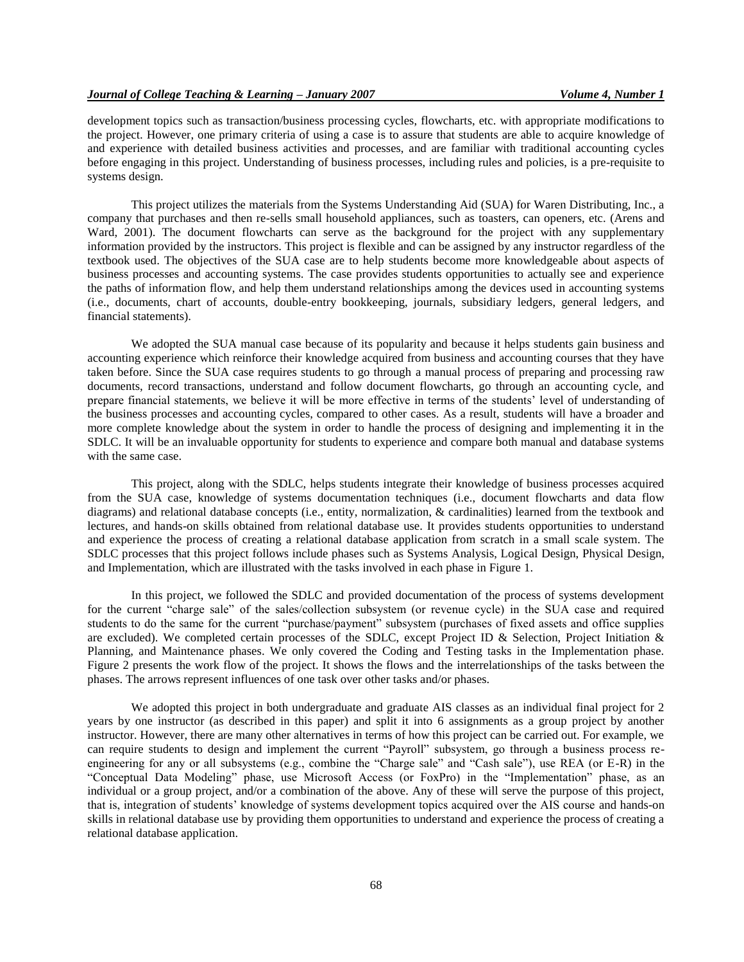development topics such as transaction/business processing cycles, flowcharts, etc. with appropriate modifications to the project. However, one primary criteria of using a case is to assure that students are able to acquire knowledge of and experience with detailed business activities and processes, and are familiar with traditional accounting cycles before engaging in this project. Understanding of business processes, including rules and policies, is a pre-requisite to systems design.

This project utilizes the materials from the Systems Understanding Aid (SUA) for Waren Distributing, Inc., a company that purchases and then re-sells small household appliances, such as toasters, can openers, etc. (Arens and Ward, 2001). The document flowcharts can serve as the background for the project with any supplementary information provided by the instructors. This project is flexible and can be assigned by any instructor regardless of the textbook used. The objectives of the SUA case are to help students become more knowledgeable about aspects of business processes and accounting systems. The case provides students opportunities to actually see and experience the paths of information flow, and help them understand relationships among the devices used in accounting systems (i.e., documents, chart of accounts, double-entry bookkeeping, journals, subsidiary ledgers, general ledgers, and financial statements).

We adopted the SUA manual case because of its popularity and because it helps students gain business and accounting experience which reinforce their knowledge acquired from business and accounting courses that they have taken before. Since the SUA case requires students to go through a manual process of preparing and processing raw documents, record transactions, understand and follow document flowcharts, go through an accounting cycle, and prepare financial statements, we believe it will be more effective in terms of the students' level of understanding of the business processes and accounting cycles, compared to other cases. As a result, students will have a broader and more complete knowledge about the system in order to handle the process of designing and implementing it in the SDLC. It will be an invaluable opportunity for students to experience and compare both manual and database systems with the same case.

This project, along with the SDLC, helps students integrate their knowledge of business processes acquired from the SUA case, knowledge of systems documentation techniques (i.e., document flowcharts and data flow diagrams) and relational database concepts (i.e., entity, normalization, & cardinalities) learned from the textbook and lectures, and hands-on skills obtained from relational database use. It provides students opportunities to understand and experience the process of creating a relational database application from scratch in a small scale system. The SDLC processes that this project follows include phases such as Systems Analysis, Logical Design, Physical Design, and Implementation, which are illustrated with the tasks involved in each phase in Figure 1.

In this project, we followed the SDLC and provided documentation of the process of systems development for the current "charge sale" of the sales/collection subsystem (or revenue cycle) in the SUA case and required students to do the same for the current "purchase/payment" subsystem (purchases of fixed assets and office supplies are excluded). We completed certain processes of the SDLC, except Project ID & Selection, Project Initiation & Planning, and Maintenance phases. We only covered the Coding and Testing tasks in the Implementation phase. Figure 2 presents the work flow of the project. It shows the flows and the interrelationships of the tasks between the phases. The arrows represent influences of one task over other tasks and/or phases.

We adopted this project in both undergraduate and graduate AIS classes as an individual final project for 2 years by one instructor (as described in this paper) and split it into 6 assignments as a group project by another instructor. However, there are many other alternatives in terms of how this project can be carried out. For example, we can require students to design and implement the current "Payroll" subsystem, go through a business process reengineering for any or all subsystems (e.g., combine the "Charge sale" and "Cash sale"), use REA (or E-R) in the "Conceptual Data Modeling" phase, use Microsoft Access (or FoxPro) in the "Implementation" phase, as an individual or a group project, and/or a combination of the above. Any of these will serve the purpose of this project, that is, integration of students' knowledge of systems development topics acquired over the AIS course and hands-on skills in relational database use by providing them opportunities to understand and experience the process of creating a relational database application.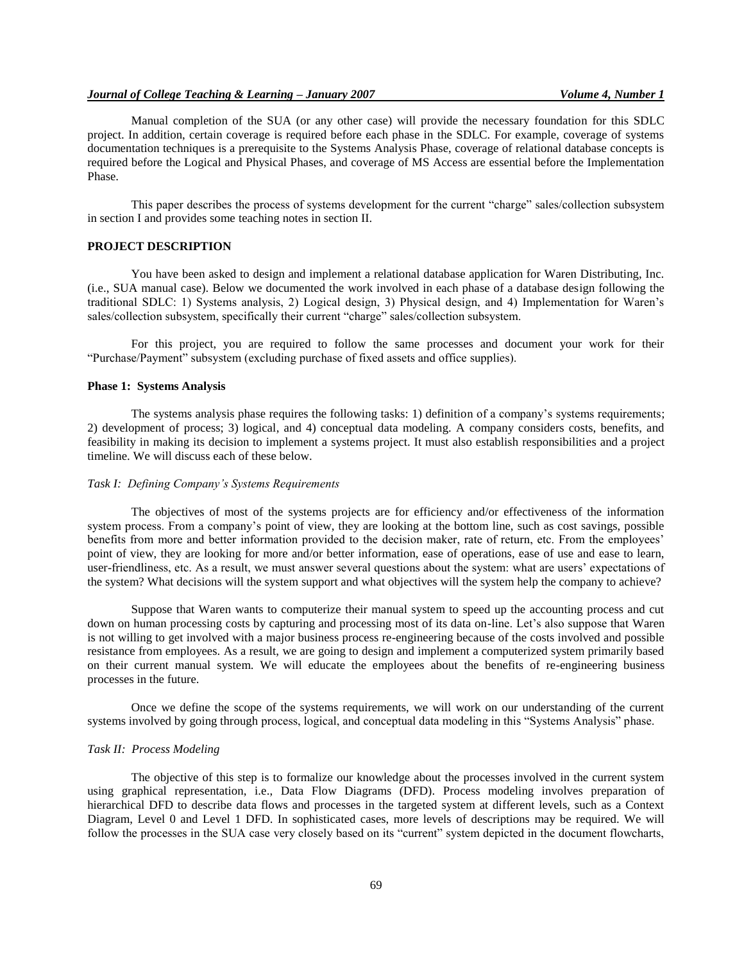## *Journal of College Teaching & Learning – January 2007 Volume 4, Number 1*

Manual completion of the SUA (or any other case) will provide the necessary foundation for this SDLC project. In addition, certain coverage is required before each phase in the SDLC. For example, coverage of systems documentation techniques is a prerequisite to the Systems Analysis Phase, coverage of relational database concepts is required before the Logical and Physical Phases, and coverage of MS Access are essential before the Implementation Phase.

This paper describes the process of systems development for the current "charge" sales/collection subsystem in section I and provides some teaching notes in section II.

## **PROJECT DESCRIPTION**

You have been asked to design and implement a relational database application for Waren Distributing, Inc. (i.e., SUA manual case). Below we documented the work involved in each phase of a database design following the traditional SDLC: 1) Systems analysis, 2) Logical design, 3) Physical design, and 4) Implementation for Waren's sales/collection subsystem, specifically their current "charge" sales/collection subsystem.

For this project, you are required to follow the same processes and document your work for their "Purchase/Payment" subsystem (excluding purchase of fixed assets and office supplies).

#### **Phase 1: Systems Analysis**

The systems analysis phase requires the following tasks: 1) definition of a company's systems requirements; 2) development of process; 3) logical, and 4) conceptual data modeling. A company considers costs, benefits, and feasibility in making its decision to implement a systems project. It must also establish responsibilities and a project timeline. We will discuss each of these below.

## *Task I: Defining Company's Systems Requirements*

The objectives of most of the systems projects are for efficiency and/or effectiveness of the information system process. From a company's point of view, they are looking at the bottom line, such as cost savings, possible benefits from more and better information provided to the decision maker, rate of return, etc. From the employees' point of view, they are looking for more and/or better information, ease of operations, ease of use and ease to learn, user-friendliness, etc. As a result, we must answer several questions about the system: what are users' expectations of the system? What decisions will the system support and what objectives will the system help the company to achieve?

Suppose that Waren wants to computerize their manual system to speed up the accounting process and cut down on human processing costs by capturing and processing most of its data on-line. Let's also suppose that Waren is not willing to get involved with a major business process re-engineering because of the costs involved and possible resistance from employees. As a result, we are going to design and implement a computerized system primarily based on their current manual system. We will educate the employees about the benefits of re-engineering business processes in the future.

Once we define the scope of the systems requirements, we will work on our understanding of the current systems involved by going through process, logical, and conceptual data modeling in this "Systems Analysis" phase.

#### *Task II: Process Modeling*

The objective of this step is to formalize our knowledge about the processes involved in the current system using graphical representation, i.e., Data Flow Diagrams (DFD). Process modeling involves preparation of hierarchical DFD to describe data flows and processes in the targeted system at different levels, such as a Context Diagram, Level 0 and Level 1 DFD. In sophisticated cases, more levels of descriptions may be required. We will follow the processes in the SUA case very closely based on its "current" system depicted in the document flowcharts,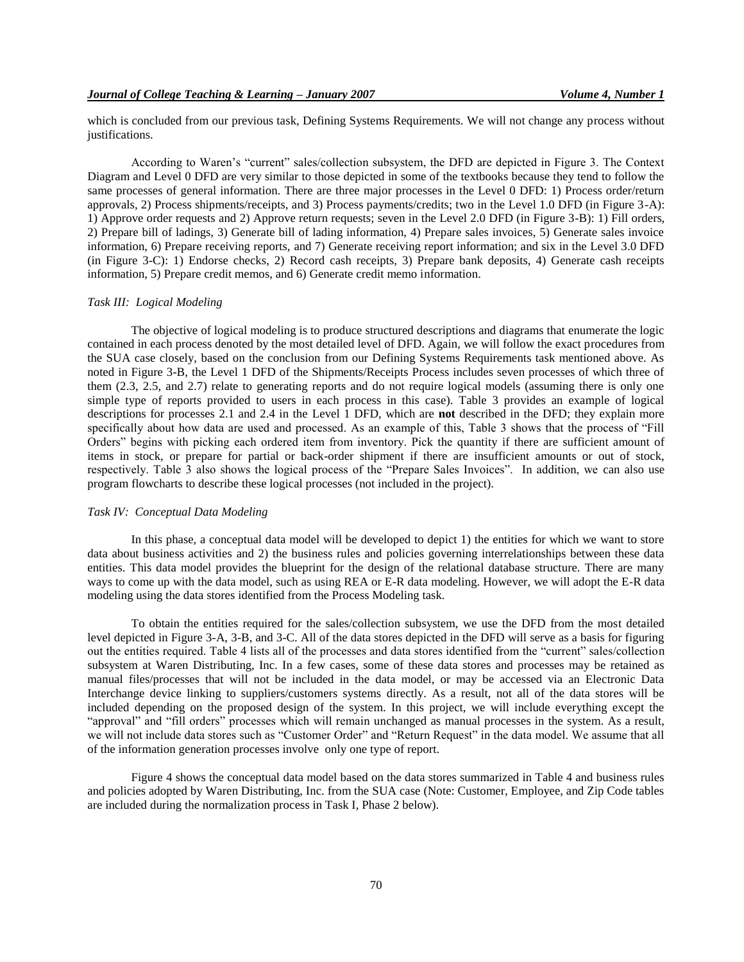which is concluded from our previous task, Defining Systems Requirements. We will not change any process without justifications.

According to Waren's "current" sales/collection subsystem, the DFD are depicted in Figure 3. The Context Diagram and Level 0 DFD are very similar to those depicted in some of the textbooks because they tend to follow the same processes of general information. There are three major processes in the Level 0 DFD: 1) Process order/return approvals, 2) Process shipments/receipts, and 3) Process payments/credits; two in the Level 1.0 DFD (in Figure 3-A): 1) Approve order requests and 2) Approve return requests; seven in the Level 2.0 DFD (in Figure 3-B): 1) Fill orders, 2) Prepare bill of ladings, 3) Generate bill of lading information, 4) Prepare sales invoices, 5) Generate sales invoice information, 6) Prepare receiving reports, and 7) Generate receiving report information; and six in the Level 3.0 DFD (in Figure 3-C): 1) Endorse checks, 2) Record cash receipts, 3) Prepare bank deposits, 4) Generate cash receipts information, 5) Prepare credit memos, and 6) Generate credit memo information.

## *Task III: Logical Modeling*

The objective of logical modeling is to produce structured descriptions and diagrams that enumerate the logic contained in each process denoted by the most detailed level of DFD. Again, we will follow the exact procedures from the SUA case closely, based on the conclusion from our Defining Systems Requirements task mentioned above. As noted in Figure 3-B, the Level 1 DFD of the Shipments/Receipts Process includes seven processes of which three of them (2.3, 2.5, and 2.7) relate to generating reports and do not require logical models (assuming there is only one simple type of reports provided to users in each process in this case). Table 3 provides an example of logical descriptions for processes 2.1 and 2.4 in the Level 1 DFD, which are **not** described in the DFD; they explain more specifically about how data are used and processed. As an example of this, Table 3 shows that the process of "Fill Orders" begins with picking each ordered item from inventory. Pick the quantity if there are sufficient amount of items in stock, or prepare for partial or back-order shipment if there are insufficient amounts or out of stock, respectively. Table 3 also shows the logical process of the "Prepare Sales Invoices". In addition, we can also use program flowcharts to describe these logical processes (not included in the project).

## *Task IV: Conceptual Data Modeling*

In this phase, a conceptual data model will be developed to depict 1) the entities for which we want to store data about business activities and 2) the business rules and policies governing interrelationships between these data entities. This data model provides the blueprint for the design of the relational database structure. There are many ways to come up with the data model, such as using REA or E-R data modeling. However, we will adopt the E-R data modeling using the data stores identified from the Process Modeling task.

To obtain the entities required for the sales/collection subsystem, we use the DFD from the most detailed level depicted in Figure 3-A, 3-B, and 3-C. All of the data stores depicted in the DFD will serve as a basis for figuring out the entities required. Table 4 lists all of the processes and data stores identified from the "current" sales/collection subsystem at Waren Distributing, Inc. In a few cases, some of these data stores and processes may be retained as manual files/processes that will not be included in the data model, or may be accessed via an Electronic Data Interchange device linking to suppliers/customers systems directly. As a result, not all of the data stores will be included depending on the proposed design of the system. In this project, we will include everything except the "approval" and "fill orders" processes which will remain unchanged as manual processes in the system. As a result, we will not include data stores such as "Customer Order" and "Return Request" in the data model. We assume that all of the information generation processes involve only one type of report.

Figure 4 shows the conceptual data model based on the data stores summarized in Table 4 and business rules and policies adopted by Waren Distributing, Inc. from the SUA case (Note: Customer, Employee, and Zip Code tables are included during the normalization process in Task I, Phase 2 below).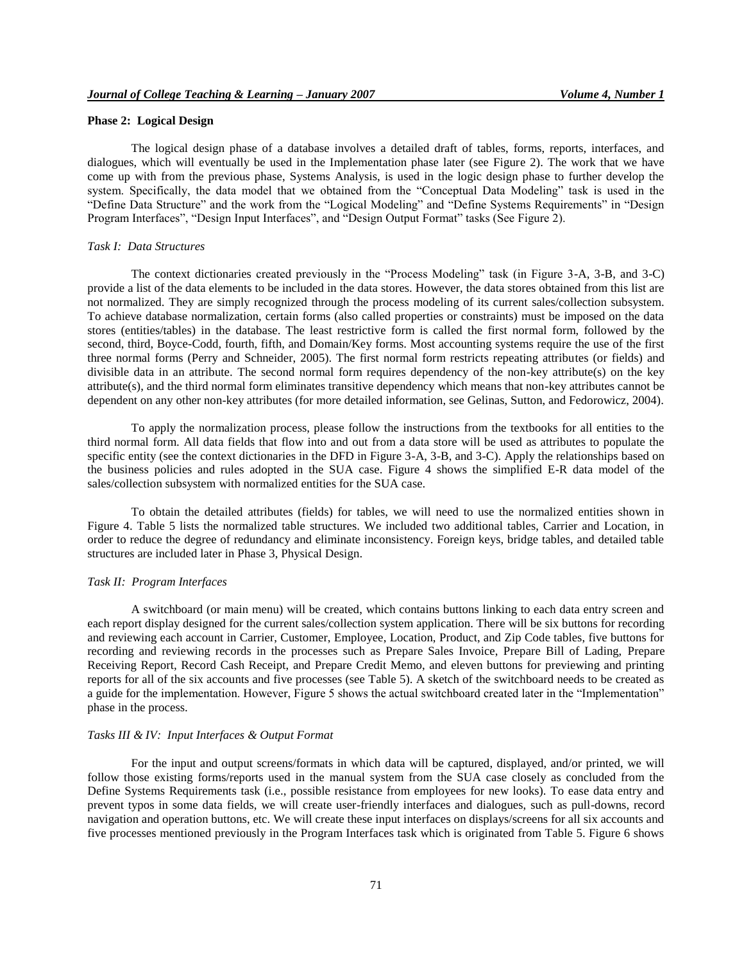## **Phase 2: Logical Design**

The logical design phase of a database involves a detailed draft of tables, forms, reports, interfaces, and dialogues, which will eventually be used in the Implementation phase later (see Figure 2). The work that we have come up with from the previous phase, Systems Analysis, is used in the logic design phase to further develop the system. Specifically, the data model that we obtained from the "Conceptual Data Modeling" task is used in the "Define Data Structure" and the work from the "Logical Modeling" and "Define Systems Requirements" in "Design Program Interfaces", "Design Input Interfaces", and "Design Output Format" tasks (See Figure 2).

#### *Task I: Data Structures*

The context dictionaries created previously in the "Process Modeling" task (in Figure 3-A, 3-B, and 3-C) provide a list of the data elements to be included in the data stores. However, the data stores obtained from this list are not normalized. They are simply recognized through the process modeling of its current sales/collection subsystem. To achieve database normalization, certain forms (also called properties or constraints) must be imposed on the data stores (entities/tables) in the database. The least restrictive form is called the first normal form, followed by the second, third, Boyce-Codd, fourth, fifth, and Domain/Key forms. Most accounting systems require the use of the first three normal forms (Perry and Schneider, 2005). The first normal form restricts repeating attributes (or fields) and divisible data in an attribute. The second normal form requires dependency of the non-key attribute(s) on the key attribute(s), and the third normal form eliminates transitive dependency which means that non-key attributes cannot be dependent on any other non-key attributes (for more detailed information, see Gelinas, Sutton, and Fedorowicz, 2004).

To apply the normalization process, please follow the instructions from the textbooks for all entities to the third normal form. All data fields that flow into and out from a data store will be used as attributes to populate the specific entity (see the context dictionaries in the DFD in Figure 3-A, 3-B, and 3-C). Apply the relationships based on the business policies and rules adopted in the SUA case. Figure 4 shows the simplified E-R data model of the sales/collection subsystem with normalized entities for the SUA case.

To obtain the detailed attributes (fields) for tables, we will need to use the normalized entities shown in Figure 4. Table 5 lists the normalized table structures. We included two additional tables, Carrier and Location, in order to reduce the degree of redundancy and eliminate inconsistency. Foreign keys, bridge tables, and detailed table structures are included later in Phase 3, Physical Design.

## *Task II: Program Interfaces*

A switchboard (or main menu) will be created, which contains buttons linking to each data entry screen and each report display designed for the current sales/collection system application. There will be six buttons for recording and reviewing each account in Carrier, Customer, Employee, Location, Product, and Zip Code tables, five buttons for recording and reviewing records in the processes such as Prepare Sales Invoice, Prepare Bill of Lading, Prepare Receiving Report, Record Cash Receipt, and Prepare Credit Memo, and eleven buttons for previewing and printing reports for all of the six accounts and five processes (see Table 5). A sketch of the switchboard needs to be created as a guide for the implementation. However, Figure 5 shows the actual switchboard created later in the "Implementation" phase in the process.

## *Tasks III & IV: Input Interfaces & Output Format*

For the input and output screens/formats in which data will be captured, displayed, and/or printed, we will follow those existing forms/reports used in the manual system from the SUA case closely as concluded from the Define Systems Requirements task (i.e., possible resistance from employees for new looks). To ease data entry and prevent typos in some data fields, we will create user-friendly interfaces and dialogues, such as pull-downs, record navigation and operation buttons, etc. We will create these input interfaces on displays/screens for all six accounts and five processes mentioned previously in the Program Interfaces task which is originated from Table 5. Figure 6 shows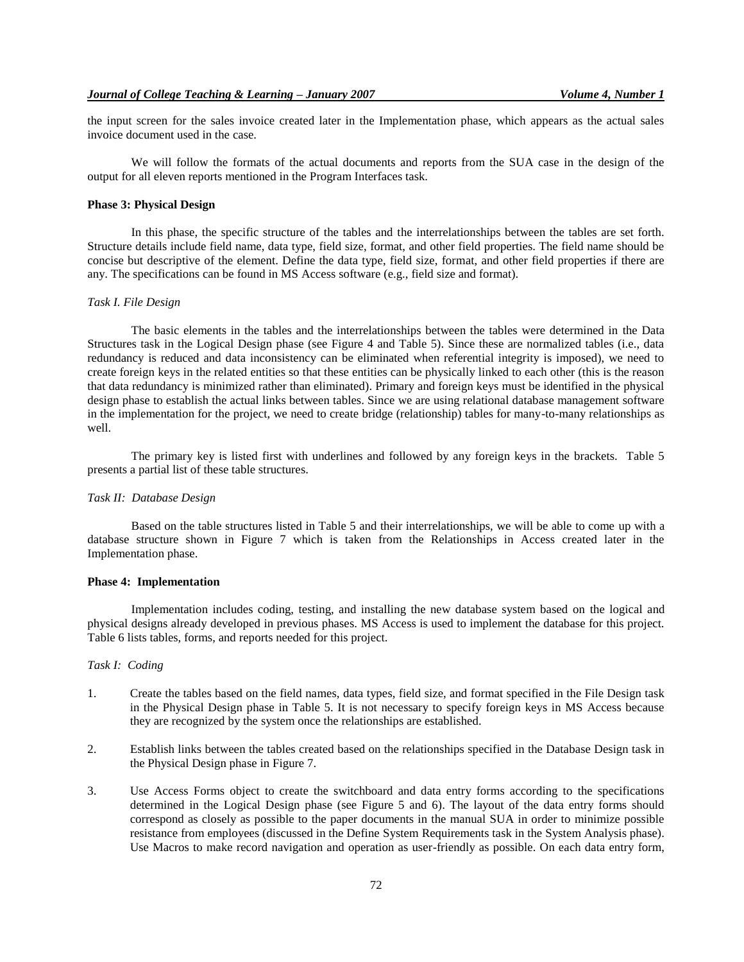the input screen for the sales invoice created later in the Implementation phase, which appears as the actual sales invoice document used in the case.

We will follow the formats of the actual documents and reports from the SUA case in the design of the output for all eleven reports mentioned in the Program Interfaces task.

### **Phase 3: Physical Design**

In this phase, the specific structure of the tables and the interrelationships between the tables are set forth. Structure details include field name, data type, field size, format, and other field properties. The field name should be concise but descriptive of the element. Define the data type, field size, format, and other field properties if there are any. The specifications can be found in MS Access software (e.g., field size and format).

#### *Task I. File Design*

The basic elements in the tables and the interrelationships between the tables were determined in the Data Structures task in the Logical Design phase (see Figure 4 and Table 5). Since these are normalized tables (i.e., data redundancy is reduced and data inconsistency can be eliminated when referential integrity is imposed), we need to create foreign keys in the related entities so that these entities can be physically linked to each other (this is the reason that data redundancy is minimized rather than eliminated). Primary and foreign keys must be identified in the physical design phase to establish the actual links between tables. Since we are using relational database management software in the implementation for the project, we need to create bridge (relationship) tables for many-to-many relationships as well.

The primary key is listed first with underlines and followed by any foreign keys in the brackets. Table 5 presents a partial list of these table structures.

## *Task II: Database Design*

Based on the table structures listed in Table 5 and their interrelationships, we will be able to come up with a database structure shown in Figure 7 which is taken from the Relationships in Access created later in the Implementation phase.

## **Phase 4: Implementation**

Implementation includes coding, testing, and installing the new database system based on the logical and physical designs already developed in previous phases. MS Access is used to implement the database for this project. Table 6 lists tables, forms, and reports needed for this project.

## *Task I: Coding*

- 1. Create the tables based on the field names, data types, field size, and format specified in the File Design task in the Physical Design phase in Table 5. It is not necessary to specify foreign keys in MS Access because they are recognized by the system once the relationships are established.
- 2. Establish links between the tables created based on the relationships specified in the Database Design task in the Physical Design phase in Figure 7.
- 3. Use Access Forms object to create the switchboard and data entry forms according to the specifications determined in the Logical Design phase (see Figure 5 and 6). The layout of the data entry forms should correspond as closely as possible to the paper documents in the manual SUA in order to minimize possible resistance from employees (discussed in the Define System Requirements task in the System Analysis phase). Use Macros to make record navigation and operation as user-friendly as possible. On each data entry form,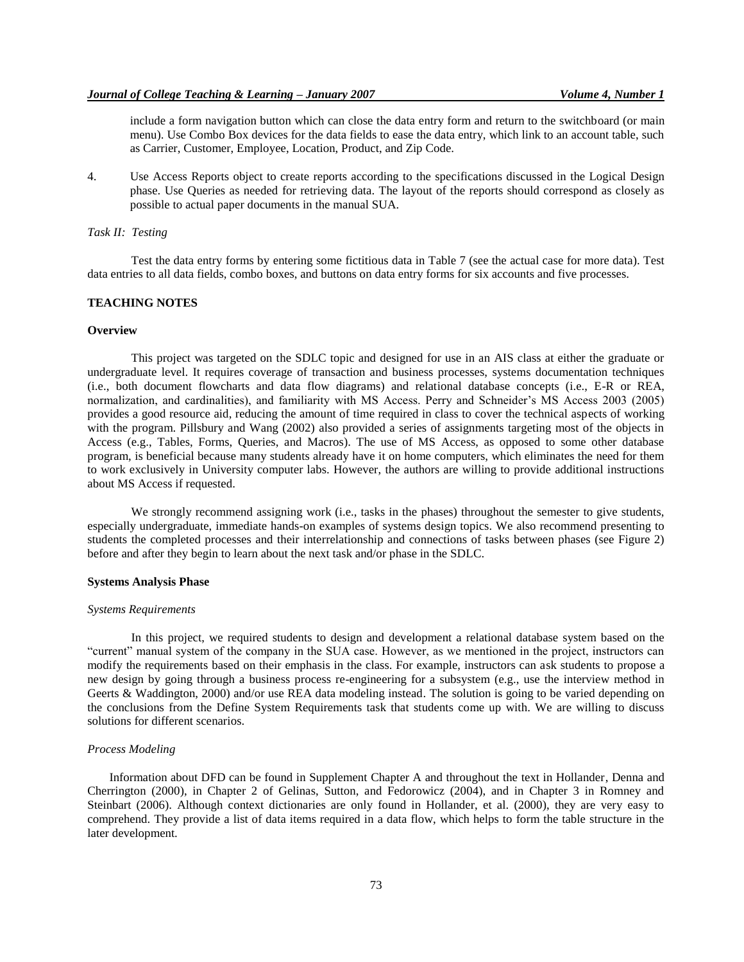include a form navigation button which can close the data entry form and return to the switchboard (or main menu). Use Combo Box devices for the data fields to ease the data entry, which link to an account table, such as Carrier, Customer, Employee, Location, Product, and Zip Code.

4. Use Access Reports object to create reports according to the specifications discussed in the Logical Design phase. Use Queries as needed for retrieving data. The layout of the reports should correspond as closely as possible to actual paper documents in the manual SUA.

## *Task II: Testing*

Test the data entry forms by entering some fictitious data in Table 7 (see the actual case for more data). Test data entries to all data fields, combo boxes, and buttons on data entry forms for six accounts and five processes.

## **TEACHING NOTES**

#### **Overview**

This project was targeted on the SDLC topic and designed for use in an AIS class at either the graduate or undergraduate level. It requires coverage of transaction and business processes, systems documentation techniques (i.e., both document flowcharts and data flow diagrams) and relational database concepts (i.e., E-R or REA, normalization, and cardinalities), and familiarity with MS Access. Perry and Schneider's MS Access 2003 (2005) provides a good resource aid, reducing the amount of time required in class to cover the technical aspects of working with the program. Pillsbury and Wang (2002) also provided a series of assignments targeting most of the objects in Access (e.g., Tables, Forms, Queries, and Macros). The use of MS Access, as opposed to some other database program, is beneficial because many students already have it on home computers, which eliminates the need for them to work exclusively in University computer labs. However, the authors are willing to provide additional instructions about MS Access if requested.

We strongly recommend assigning work (i.e., tasks in the phases) throughout the semester to give students, especially undergraduate, immediate hands-on examples of systems design topics. We also recommend presenting to students the completed processes and their interrelationship and connections of tasks between phases (see Figure 2) before and after they begin to learn about the next task and/or phase in the SDLC.

#### **Systems Analysis Phase**

#### *Systems Requirements*

In this project, we required students to design and development a relational database system based on the "current" manual system of the company in the SUA case. However, as we mentioned in the project, instructors can modify the requirements based on their emphasis in the class. For example, instructors can ask students to propose a new design by going through a business process re-engineering for a subsystem (e.g., use the interview method in Geerts & Waddington, 2000) and/or use REA data modeling instead. The solution is going to be varied depending on the conclusions from the Define System Requirements task that students come up with. We are willing to discuss solutions for different scenarios.

## *Process Modeling*

Information about DFD can be found in Supplement Chapter A and throughout the text in Hollander, Denna and Cherrington (2000), in Chapter 2 of Gelinas, Sutton, and Fedorowicz (2004), and in Chapter 3 in Romney and Steinbart (2006). Although context dictionaries are only found in Hollander, et al. (2000), they are very easy to comprehend. They provide a list of data items required in a data flow, which helps to form the table structure in the later development.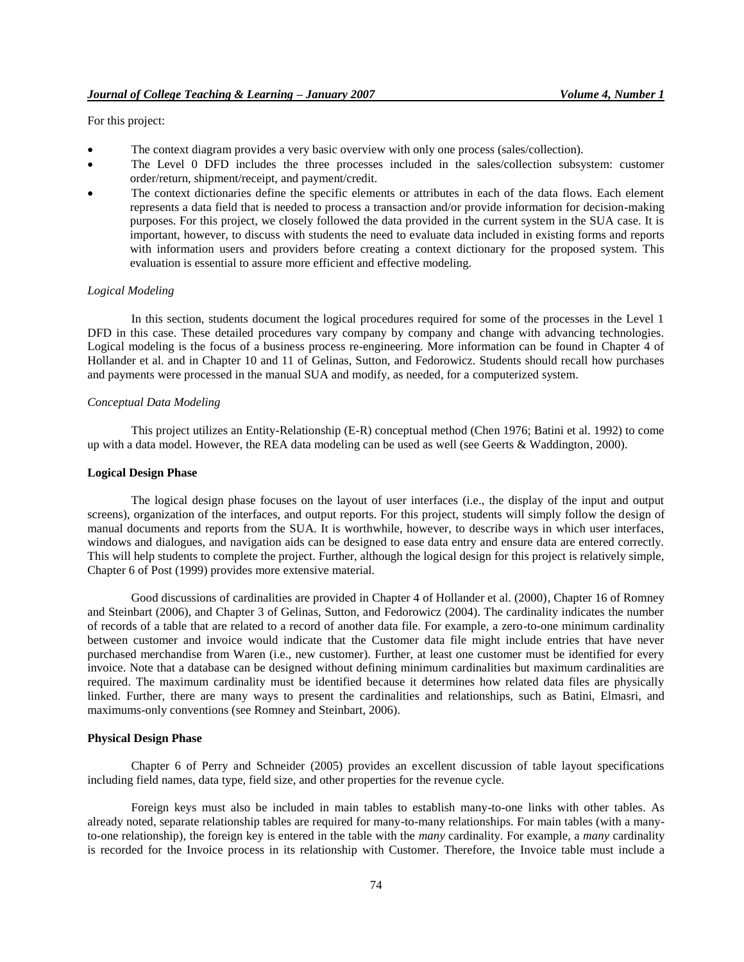For this project:

- The context diagram provides a very basic overview with only one process (sales/collection).
- The Level 0 DFD includes the three processes included in the sales/collection subsystem: customer order/return, shipment/receipt, and payment/credit.
- The context dictionaries define the specific elements or attributes in each of the data flows. Each element represents a data field that is needed to process a transaction and/or provide information for decision-making purposes. For this project, we closely followed the data provided in the current system in the SUA case. It is important, however, to discuss with students the need to evaluate data included in existing forms and reports with information users and providers before creating a context dictionary for the proposed system. This evaluation is essential to assure more efficient and effective modeling.

#### *Logical Modeling*

In this section, students document the logical procedures required for some of the processes in the Level 1 DFD in this case. These detailed procedures vary company by company and change with advancing technologies. Logical modeling is the focus of a business process re-engineering. More information can be found in Chapter 4 of Hollander et al. and in Chapter 10 and 11 of Gelinas, Sutton, and Fedorowicz. Students should recall how purchases and payments were processed in the manual SUA and modify, as needed, for a computerized system.

## *Conceptual Data Modeling*

This project utilizes an Entity-Relationship (E-R) conceptual method (Chen 1976; Batini et al. 1992) to come up with a data model. However, the REA data modeling can be used as well (see Geerts & Waddington, 2000).

#### **Logical Design Phase**

The logical design phase focuses on the layout of user interfaces (i.e., the display of the input and output screens), organization of the interfaces, and output reports. For this project, students will simply follow the design of manual documents and reports from the SUA. It is worthwhile, however, to describe ways in which user interfaces, windows and dialogues, and navigation aids can be designed to ease data entry and ensure data are entered correctly. This will help students to complete the project. Further, although the logical design for this project is relatively simple, Chapter 6 of Post (1999) provides more extensive material.

Good discussions of cardinalities are provided in Chapter 4 of Hollander et al. (2000), Chapter 16 of Romney and Steinbart (2006), and Chapter 3 of Gelinas, Sutton, and Fedorowicz (2004). The cardinality indicates the number of records of a table that are related to a record of another data file. For example, a zero-to-one minimum cardinality between customer and invoice would indicate that the Customer data file might include entries that have never purchased merchandise from Waren (i.e., new customer). Further, at least one customer must be identified for every invoice. Note that a database can be designed without defining minimum cardinalities but maximum cardinalities are required. The maximum cardinality must be identified because it determines how related data files are physically linked. Further, there are many ways to present the cardinalities and relationships, such as Batini, Elmasri, and maximums-only conventions (see Romney and Steinbart, 2006).

#### **Physical Design Phase**

Chapter 6 of Perry and Schneider (2005) provides an excellent discussion of table layout specifications including field names, data type, field size, and other properties for the revenue cycle.

Foreign keys must also be included in main tables to establish many-to-one links with other tables. As already noted, separate relationship tables are required for many-to-many relationships. For main tables (with a manyto-one relationship), the foreign key is entered in the table with the *many* cardinality. For example, a *many* cardinality is recorded for the Invoice process in its relationship with Customer. Therefore, the Invoice table must include a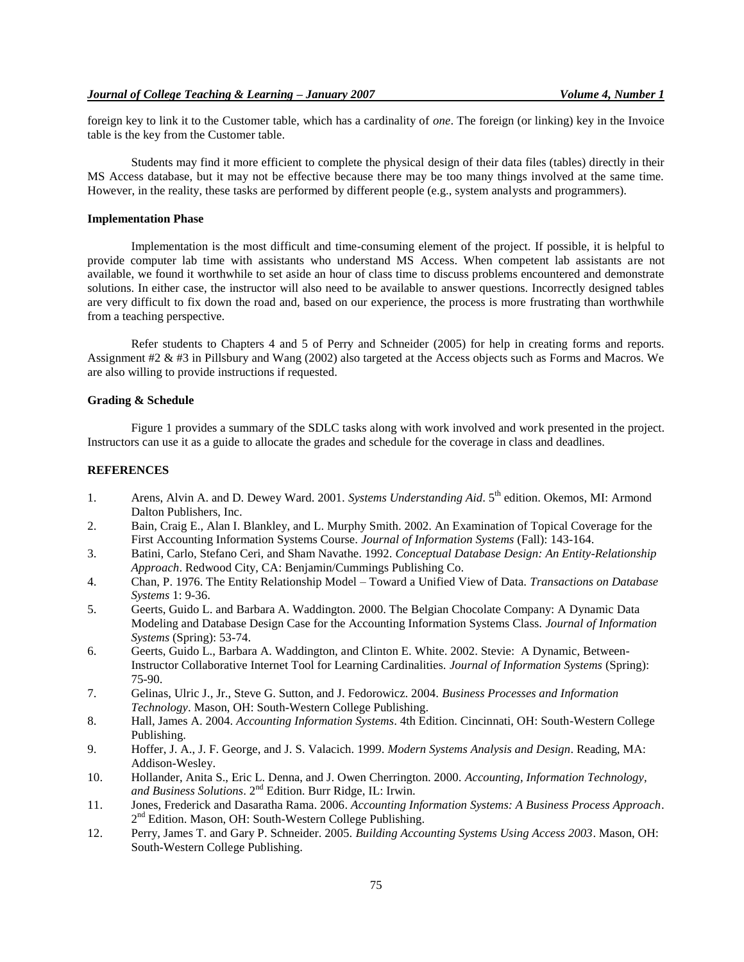foreign key to link it to the Customer table, which has a cardinality of *one*. The foreign (or linking) key in the Invoice table is the key from the Customer table.

Students may find it more efficient to complete the physical design of their data files (tables) directly in their MS Access database, but it may not be effective because there may be too many things involved at the same time. However, in the reality, these tasks are performed by different people (e.g., system analysts and programmers).

## **Implementation Phase**

Implementation is the most difficult and time-consuming element of the project. If possible, it is helpful to provide computer lab time with assistants who understand MS Access. When competent lab assistants are not available, we found it worthwhile to set aside an hour of class time to discuss problems encountered and demonstrate solutions. In either case, the instructor will also need to be available to answer questions. Incorrectly designed tables are very difficult to fix down the road and, based on our experience, the process is more frustrating than worthwhile from a teaching perspective.

Refer students to Chapters 4 and 5 of Perry and Schneider (2005) for help in creating forms and reports. Assignment #2 & #3 in Pillsbury and Wang (2002) also targeted at the Access objects such as Forms and Macros. We are also willing to provide instructions if requested.

## **Grading & Schedule**

Figure 1 provides a summary of the SDLC tasks along with work involved and work presented in the project. Instructors can use it as a guide to allocate the grades and schedule for the coverage in class and deadlines.

#### **REFERENCES**

- 1. Arens, Alvin A. and D. Dewey Ward. 2001. *Systems Understanding Aid*. 5<sup>th</sup> edition. Okemos, MI: Armond Dalton Publishers, Inc.
- 2. Bain, Craig E., Alan I. Blankley, and L. Murphy Smith. 2002. An Examination of Topical Coverage for the First Accounting Information Systems Course. *Journal of Information Systems* (Fall): 143-164.
- 3. Batini, Carlo, Stefano Ceri, and Sham Navathe. 1992. *Conceptual Database Design: An Entity-Relationship Approach*. Redwood City, CA: Benjamin/Cummings Publishing Co.
- 4. Chan, P. 1976. The Entity Relationship Model Toward a Unified View of Data. *Transactions on Database Systems* 1: 9-36.
- 5. Geerts, Guido L. and Barbara A. Waddington. 2000. The Belgian Chocolate Company: A Dynamic Data Modeling and Database Design Case for the Accounting Information Systems Class. *Journal of Information Systems* (Spring): 53-74.
- 6. Geerts, Guido L., Barbara A. Waddington, and Clinton E. White. 2002. Stevie: A Dynamic, Between-Instructor Collaborative Internet Tool for Learning Cardinalities. *Journal of Information Systems* (Spring): 75-90.
- 7. Gelinas, Ulric J., Jr., Steve G. Sutton, and J. Fedorowicz. 2004. *Business Processes and Information Technology*. Mason, OH: South-Western College Publishing.
- 8. Hall, James A. 2004. *Accounting Information Systems*. 4th Edition. Cincinnati, OH: South-Western College Publishing.
- 9. Hoffer, J. A., J. F. George, and J. S. Valacich. 1999. *Modern Systems Analysis and Design*. Reading, MA: Addison-Wesley.
- 10. Hollander, Anita S., Eric L. Denna, and J. Owen Cherrington. 2000. *Accounting, Information Technology, and Business Solutions*. 2nd Edition. Burr Ridge, IL: Irwin.
- 11. Jones, Frederick and Dasaratha Rama. 2006. *Accounting Information Systems: A Business Process Approach*. 2<sup>nd</sup> Edition. Mason, OH: South-Western College Publishing.
- 12. Perry, James T. and Gary P. Schneider. 2005. *Building Accounting Systems Using Access 2003*. Mason, OH: South-Western College Publishing.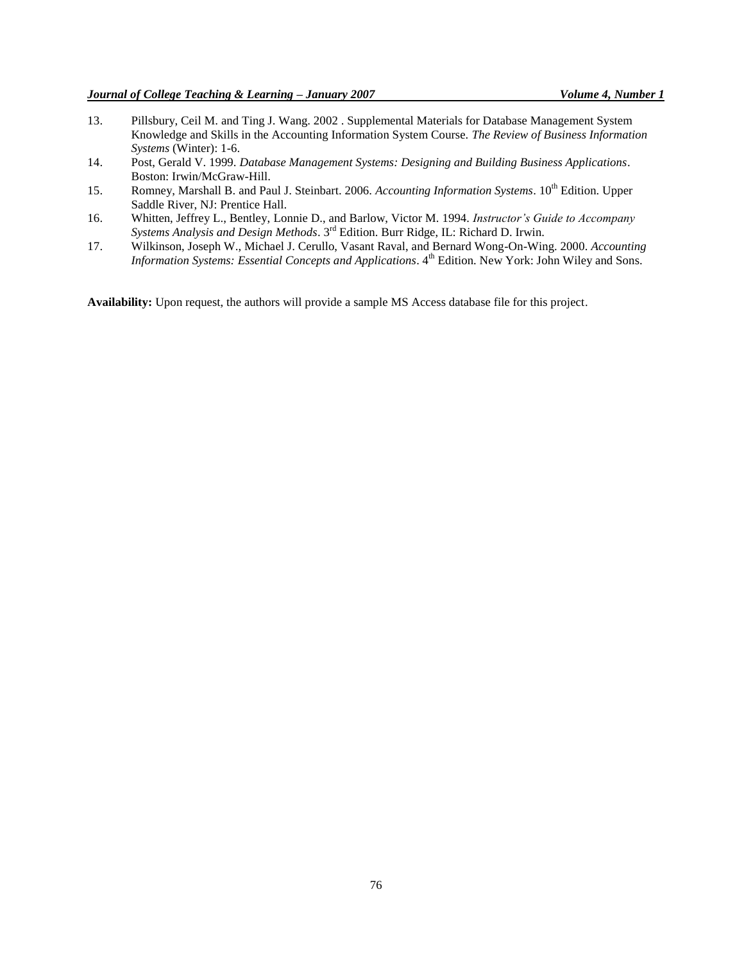- 13. Pillsbury, Ceil M. and Ting J. Wang. 2002 . Supplemental Materials for Database Management System Knowledge and Skills in the Accounting Information System Course. *The Review of Business Information Systems* (Winter): 1-6.
- 14. Post, Gerald V. 1999. *Database Management Systems: Designing and Building Business Applications*. Boston: Irwin/McGraw-Hill.
- 15. Romney, Marshall B. and Paul J. Steinbart. 2006. *Accounting Information Systems*. 10<sup>th</sup> Edition. Upper Saddle River, NJ: Prentice Hall.
- 16. Whitten, Jeffrey L., Bentley, Lonnie D., and Barlow, Victor M. 1994. *Instructor's Guide to Accompany Systems Analysis and Design Methods*. 3rd Edition. Burr Ridge, IL: Richard D. Irwin.
- 17. Wilkinson, Joseph W., Michael J. Cerullo, Vasant Raval, and Bernard Wong-On-Wing. 2000. *Accounting*  Information Systems: Essential Concepts and Applications. 4<sup>th</sup> Edition. New York: John Wiley and Sons.

**Availability:** Upon request, the authors will provide a sample MS Access database file for this project.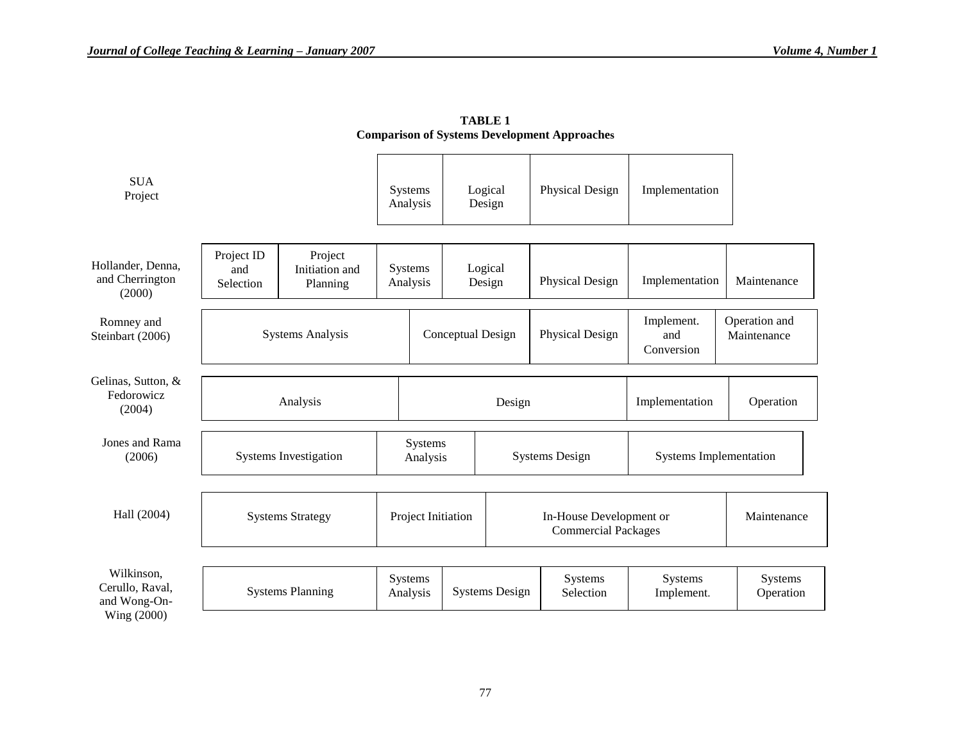| <b>SUA</b><br>Project                                        |                                |                                       |                     | Systems<br>Analysis | Logical | Design                                                 | Physical Design                 | Implementation               |                      |
|--------------------------------------------------------------|--------------------------------|---------------------------------------|---------------------|---------------------|---------|--------------------------------------------------------|---------------------------------|------------------------------|----------------------|
| Hollander, Denna,<br>and Cherrington<br>(2000)               | Project ID<br>and<br>Selection | Project<br>Initiation and<br>Planning |                     | Systems<br>Analysis | Logical | Design                                                 | Physical Design                 | Implementation               | Maintenance          |
| Romney and<br>Steinbart (2006)                               | <b>Systems Analysis</b>        |                                       | Conceptual Design   |                     |         | Physical Design                                        | Implement.<br>and<br>Conversion | Operation and<br>Maintenance |                      |
| Gelinas, Sutton, &<br>Fedorowicz<br>(2004)                   | Analysis                       |                                       |                     | Design              |         |                                                        | Implementation                  | Operation                    |                      |
| Jones and Rama<br>(2006)                                     | <b>Systems Investigation</b>   |                                       | Systems<br>Analysis |                     |         | <b>Systems Design</b><br><b>Systems Implementation</b> |                                 |                              |                      |
| Hall (2004)                                                  | <b>Systems Strategy</b>        |                                       | Project Initiation  |                     |         | In-House Development or<br><b>Commercial Packages</b>  |                                 | Maintenance                  |                      |
| Wilkinson,<br>Cerullo, Raval,<br>and Wong-On-<br>Wing (2000) |                                | <b>Systems Planning</b>               |                     | Systems<br>Analysis |         | <b>Systems Design</b>                                  | Systems<br>Selection            | Systems<br>Implement.        | Systems<br>Operation |

**TABLE 1 Comparison of Systems Development Approaches**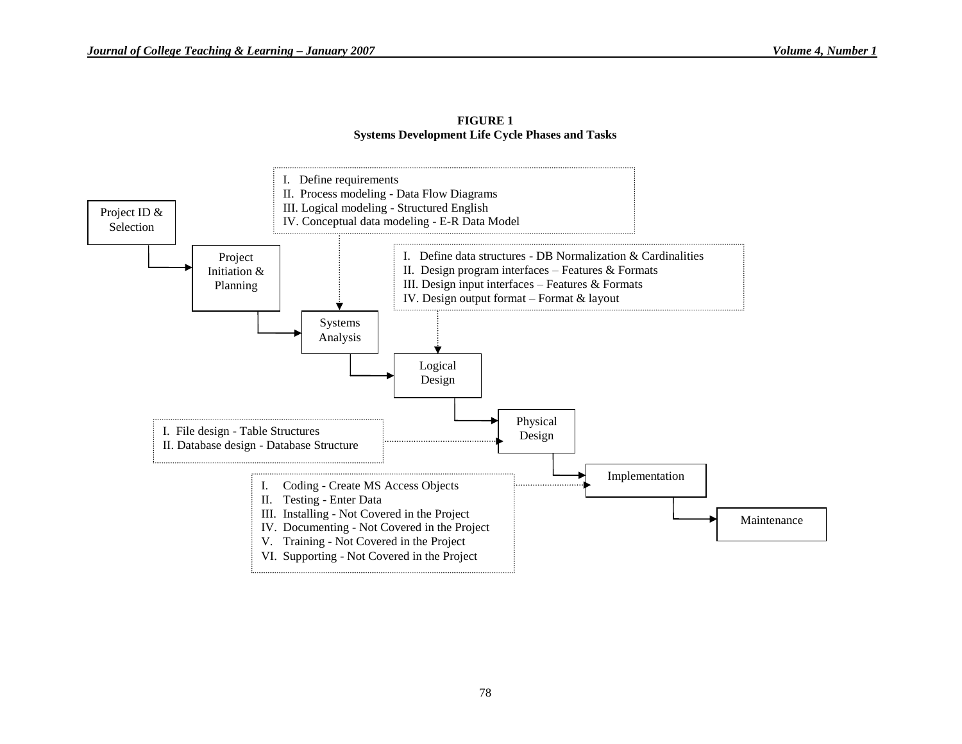

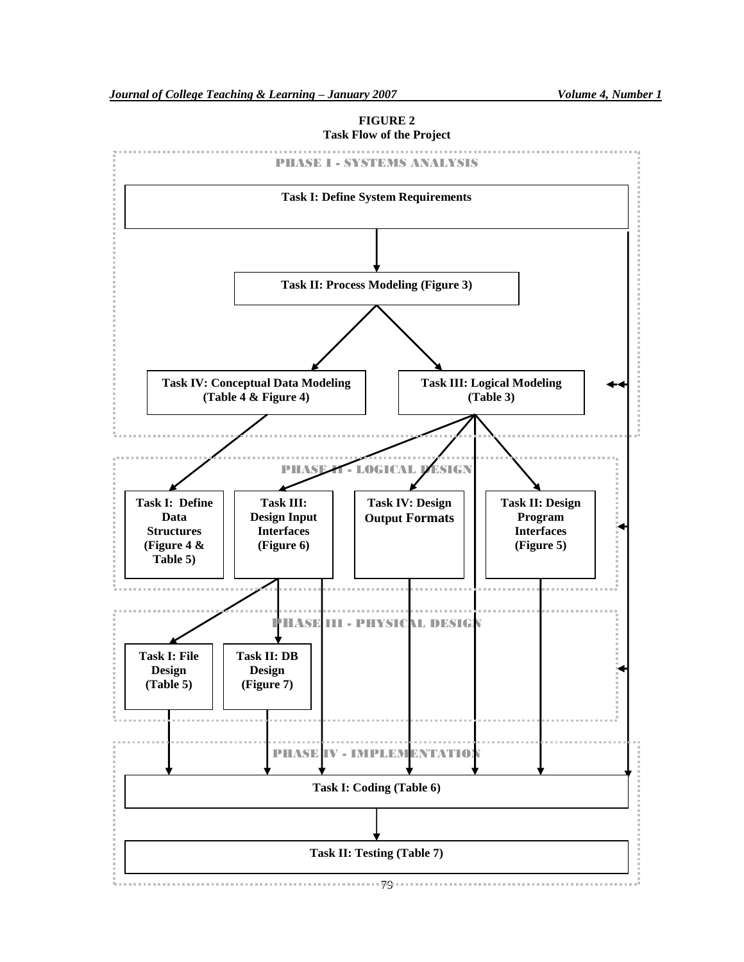# PHASE I - SYSTEMS ANALYSIS **Task I: Define System Requirements Task II: Process Modeling (Figure 3) Task III: Logical Modeling Task IV: Conceptual Data Modeling (Table 4 & Figure 4) (Table 3)** PHASE **II** - LOGICAL DESIGN **Task I: Define Task II: Design Task III: Task IV: Design Data Design Input Program Output Formats Structures Interfaces Interfaces (Figure 4 & (Figure 6) (Figure 5) Table 5)** an an an PHASE III - PHYSICAL DESIGN **Task I: File Task II: DB Design Design (Table 5) (Figure 7)** PHASE IV - IMPLEMENTATIO **Task I: Coding (Table 6) Task II: Testing (Table 7)**79

## **FIGURE 2**

**Task Flow of the Project**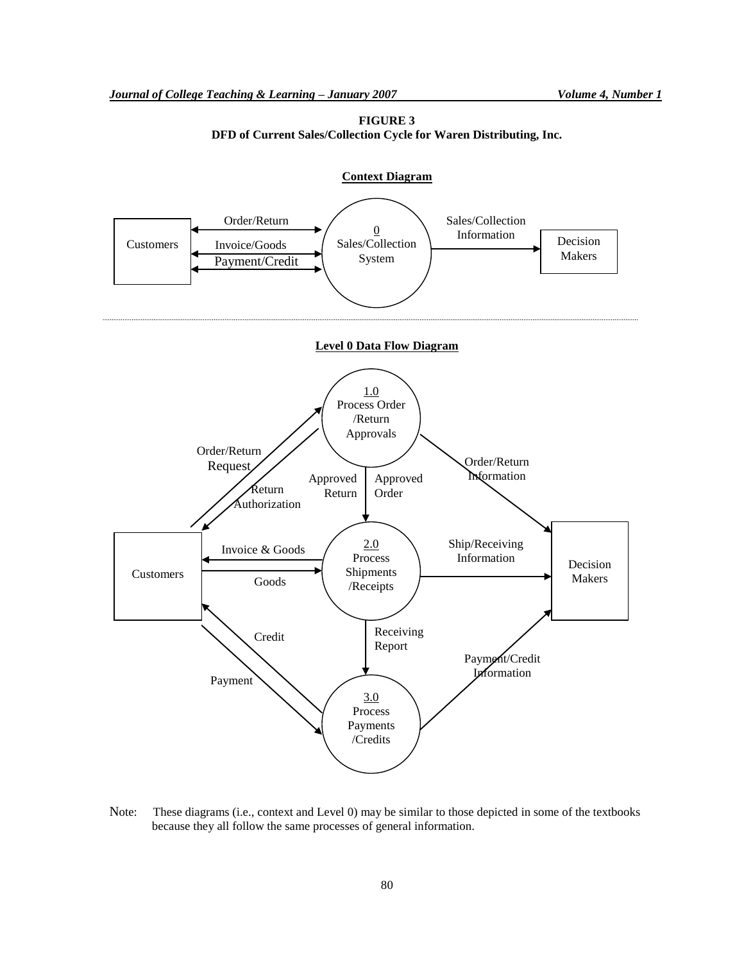



Note: These diagrams (i.e., context and Level 0) may be similar to those depicted in some of the textbooks because they all follow the same processes of general information.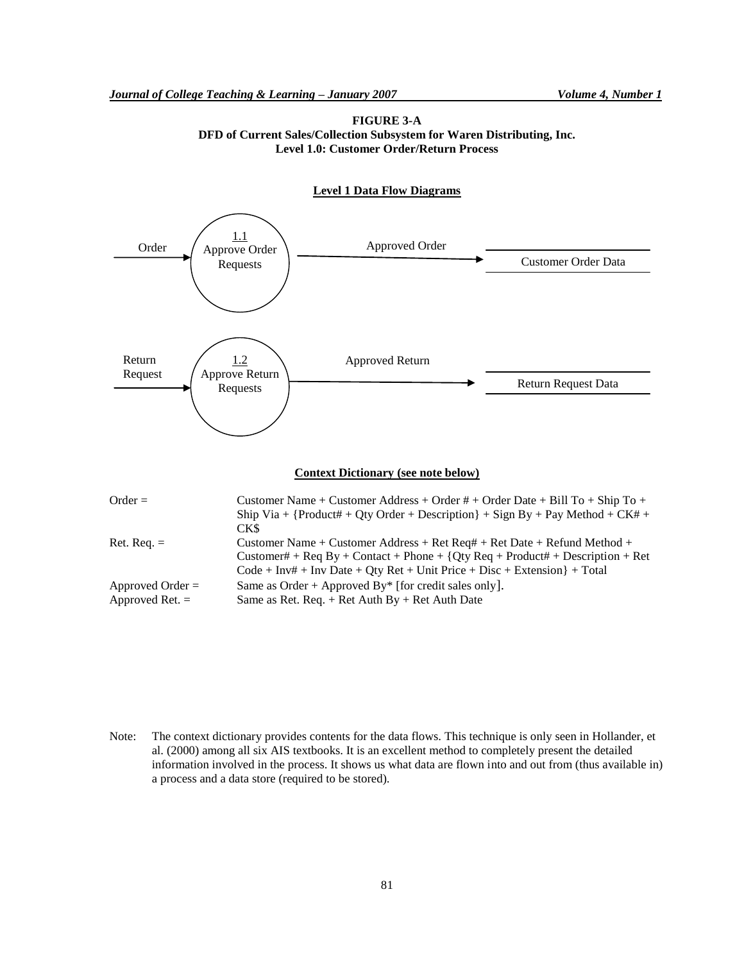



## **Context Dictionary (see note below)**

| $Order =$          | Customer Name + Customer Address + Order # + Order Date + Bill To + Ship To +    |
|--------------------|----------------------------------------------------------------------------------|
|                    | Ship Via + {Product# + Qty Order + Description} + Sign By + Pay Method + $CK#$ + |
|                    | CK\$                                                                             |
| $Ret.$ Req. $=$    | Customer Name + Customer Address + Ret Req# + Ret Date + Refund Method +         |
|                    | Customer# + Req By + Contact + Phone + {Qty Req + Product# + Description + Ret   |
|                    | $Code + Inv# + Inv$ Date + Qty Ret + Unit Price + Disc + Extension $\}$ + Total  |
| Approved Order $=$ | Same as Order + Approved By* [for credit sales only].                            |
| Approved Ret. $=$  | Same as Ret. Req. $+$ Ret Auth By $+$ Ret Auth Date                              |
|                    |                                                                                  |

Note: The context dictionary provides contents for the data flows. This technique is only seen in Hollander, et al. (2000) among all six AIS textbooks. It is an excellent method to completely present the detailed information involved in the process. It shows us what data are flown into and out from (thus available in) a process and a data store (required to be stored).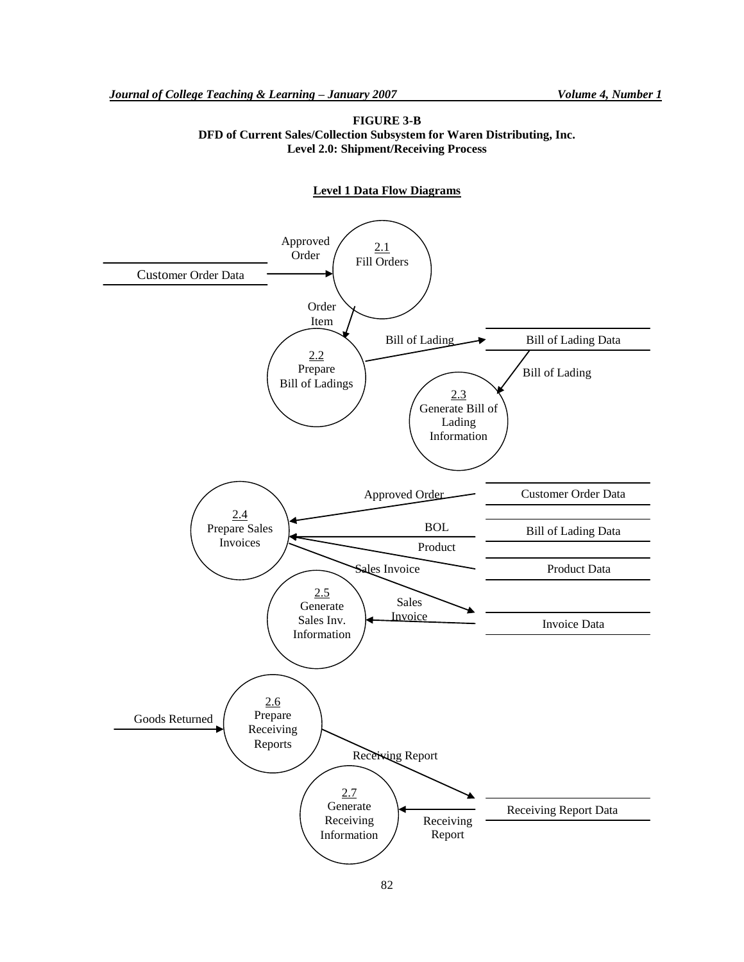**FIGURE 3-B DFD of Current Sales/Collection Subsystem for Waren Distributing, Inc. Level 2.0: Shipment/Receiving Process**

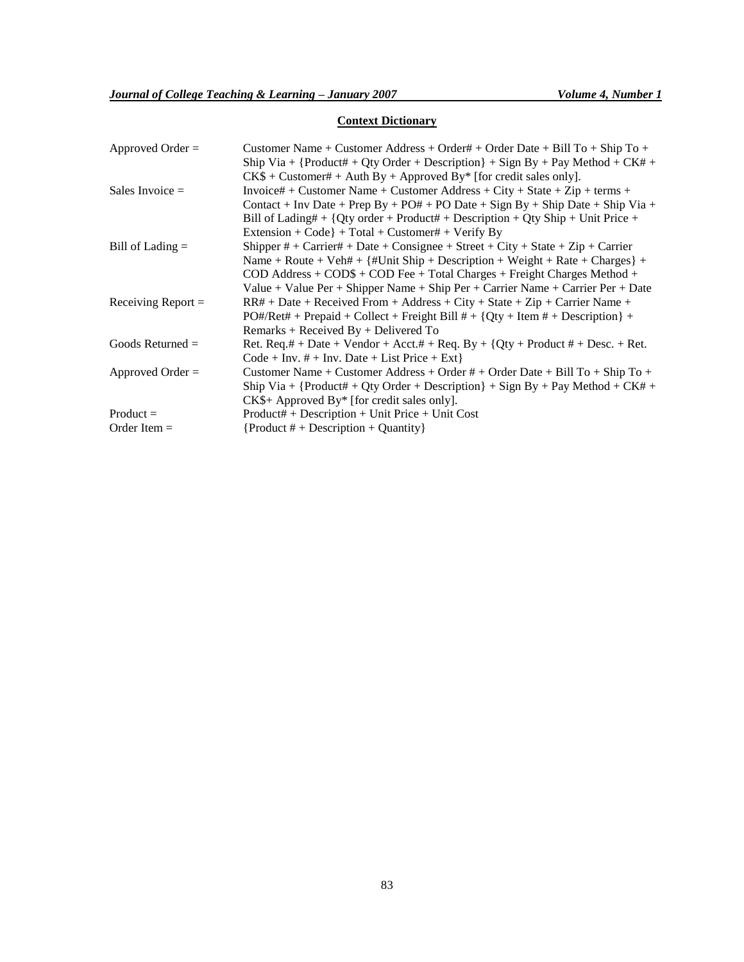## **Context Dictionary**

| Approved Order $=$   | Customer Name + Customer Address + Order# + Order Date + Bill To + Ship To +                       |
|----------------------|----------------------------------------------------------------------------------------------------|
|                      | Ship Via + {Product# + Qty Order + Description} + Sign By + Pay Method + CK# +                     |
|                      | $CK\$ + Customer# + Auth By + Approved By* [for credit sales only].                                |
| Sales Invoice $=$    | Invoice# + Customer Name + Customer Address + City + State + Zip + terms +                         |
|                      | Contact + Inv Date + Prep By + PO# + PO Date + Sign By + Ship Date + Ship Via +                    |
|                      | Bill of Lading# + {Qty order + Product# + Description + Qty Ship + Unit Price +                    |
|                      | Extension + Code} + Total + Customer# + Verify By                                                  |
| Bill of Lading $=$   | Shipper $#$ + Carrier# + Date + Consignee + Street + City + State + Zip + Carrier                  |
|                      | Name + Route + Veh# + $\{$ #Unit Ship + Description + Weight + Rate + Charges $\}$ +               |
|                      | $\text{COD}$ Address + $\text{COD}\$ + $\text{COD}$ Fee + Total Charges + Freight Charges Method + |
|                      | Value + Value Per + Shipper Name + Ship Per + Carrier Name + Carrier Per + Date                    |
| Receiving Report $=$ | $RR# + Date + Receivered From + Address + City + State + Zip + Carrier Name +$                     |
|                      | $PO#/Ret# + Prepaid + Collect + Freight Bill # + {Qty + Item # + Description} +$                   |
|                      | $Remarks + Received By + Delivered To$                                                             |
| Goods Returned $=$   | Ret. Req.# + Date + Vendor + Acct.# + Req. By + $\{Qty + Product # + Desc. + Ret.$                 |
|                      | $Code + Inv. # + Inv. Date + List Price + Ext$                                                     |
| Approved Order $=$   | Customer Name + Customer Address + Order # + Order Date + Bill To + Ship To +                      |
|                      | Ship Via + {Product# + Qty Order + Description} + Sign By + Pay Method + CK# +                     |
|                      | $CK\$ + Approved By* [for credit sales only].                                                      |
| $Product =$          | $Product# + Description + Unit Price + Unit Cost$                                                  |
| Order Item $=$       | ${Product # + Description + Quantity}$                                                             |
|                      |                                                                                                    |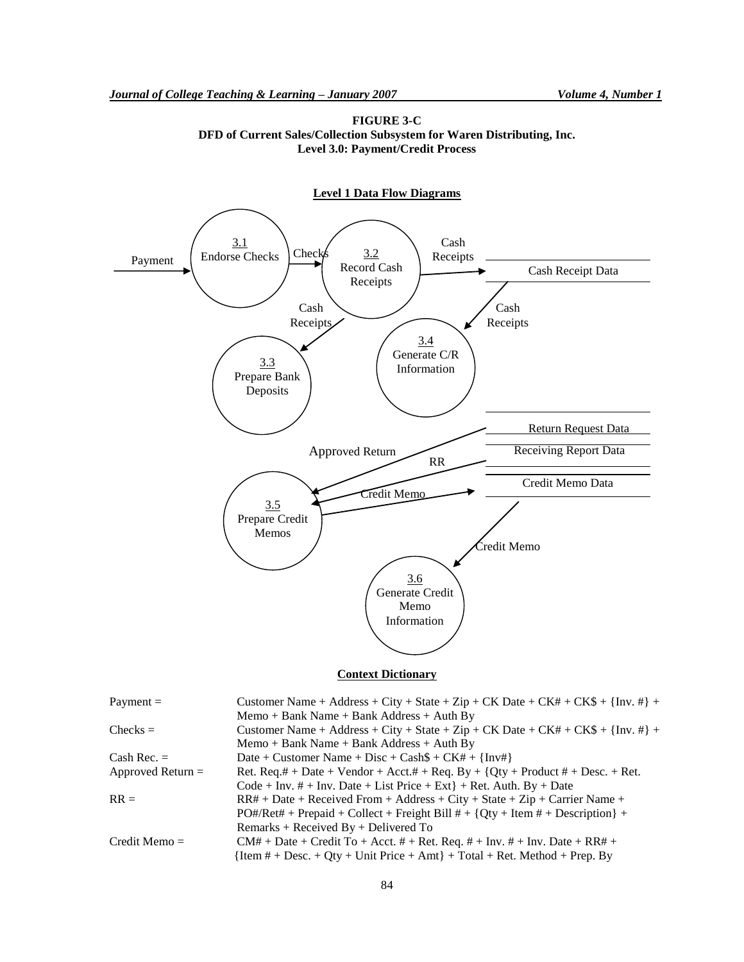



## **Context Dictionary**

| Payment $=$         | Customer Name + Address + City + State + Zip + CK Date + CK# + CK\$ + $\{Inv. #\}$ + |
|---------------------|--------------------------------------------------------------------------------------|
|                     | $Memo + Bank Name + Bank Address + Author By$                                        |
| $Checks =$          | Customer Name + Address + City + State + Zip + CK Date + CK# + CK\$ + {Inv. #} +     |
|                     | $Memo + Bank Name + Bank Address + Author By$                                        |
| Cash Rec. $=$       | Date + Customer Name + Disc + Cash $$ + CK# + {Inv#}$                                |
| Approved Return $=$ | Ret. Req.# + Date + Vendor + Acct.# + Req. By + {Qty + Product # + Desc. + Ret.      |
|                     | $Code + Inv. # + Inv. Date + List Price + Ext] + Ret. Author. By + Date$             |
| $RR =$              | $RR# + Date + Receivered From + Address + City + State + Zip + Carrier Name +$       |
|                     | $PO#/Ret\# + Prepaid + Collect + Freight Bill # + {Qty + Item # + Description} +$    |
|                     | Remarks + Received $By + Delivered$ To                                               |
| $Credit$ Memo $=$   | $CM# + Date + Credit To + Acct. # + Ret. Req. # + Inv. # + Inv. Date + RR# +$        |
|                     | ${Item # + Desc. + Qty + Unit Price + Amt} + Total + Ret. Method + Prep. By$         |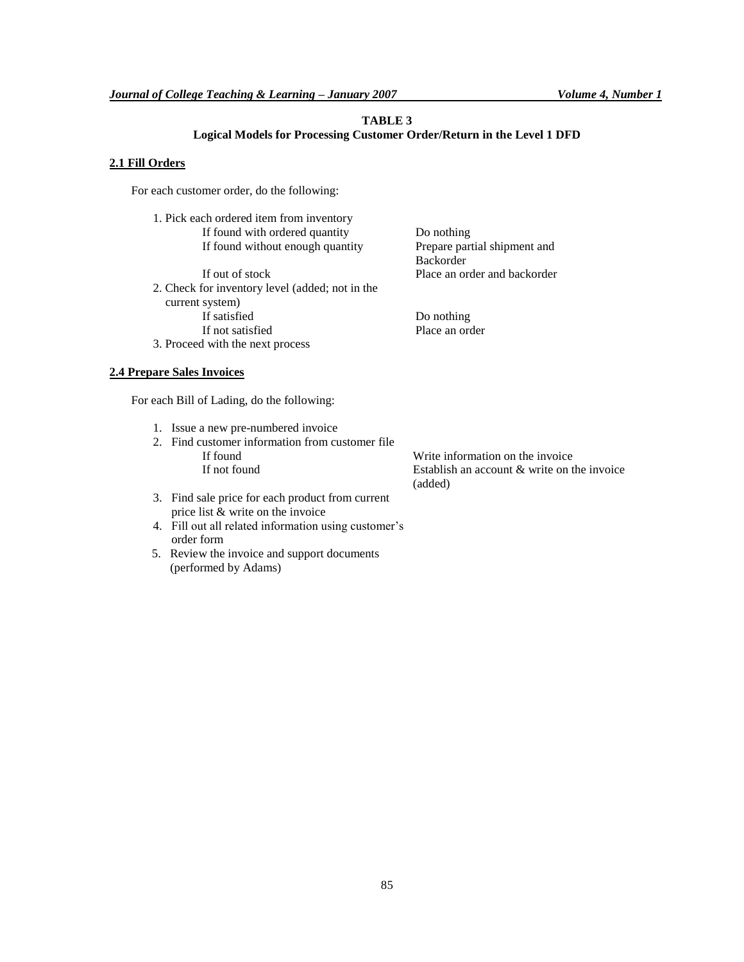## **TABLE 3**

## **Logical Models for Processing Customer Order/Return in the Level 1 DFD**

Do nothing

Backorder

Prepare partial shipment and

## **2.1 Fill Orders**

For each customer order, do the following:

| 1. Pick each ordered item from inventory |
|------------------------------------------|
| If found with ordered quantity           |
| If found without enough quantity         |

If out of stock Place an order and backorder 2. Check for inventory level (added; not in the current system) If satisfied Do nothing If not satisfied Place an order 3. Proceed with the next process

## **2.4 Prepare Sales Invoices**

For each Bill of Lading, do the following:

- 1. Issue a new pre-numbered invoice
- 2. Find customer information from customer file If found Write information on the invoice<br>If not found Establish an account & write on t

Establish an account  $&$  write on the invoice (added)

- 3. Find sale price for each product from current price list & write on the invoice
- 4. Fill out all related information using customer's order form
- 5. Review the invoice and support documents (performed by Adams)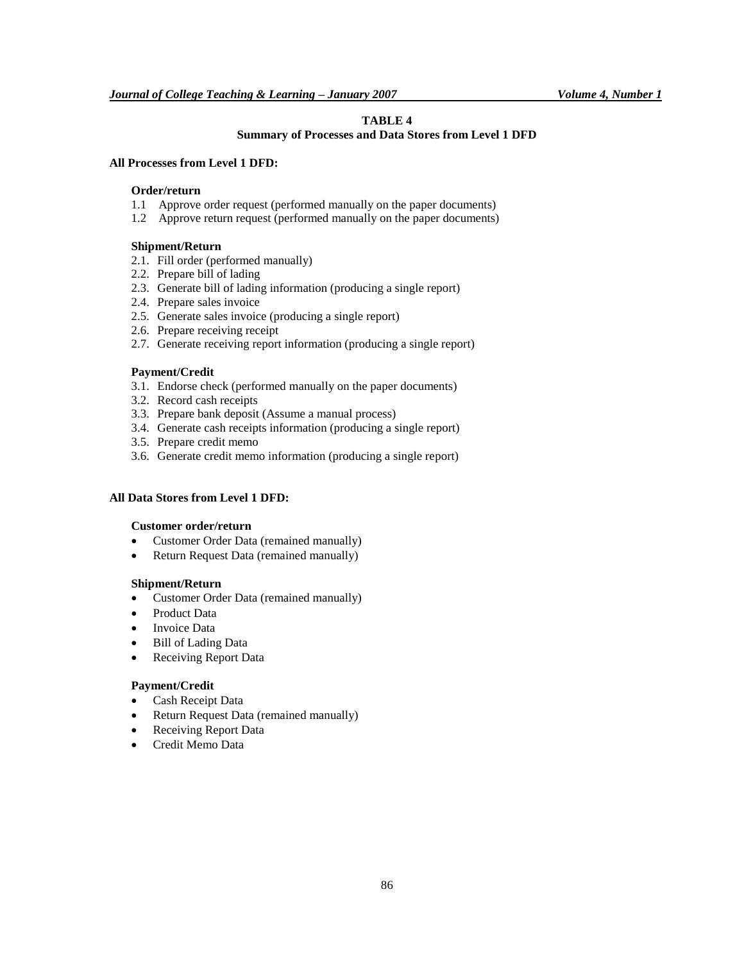## **TABLE 4**

## **Summary of Processes and Data Stores from Level 1 DFD**

## **All Processes from Level 1 DFD:**

## **Order/return**

- 1.1 Approve order request (performed manually on the paper documents)
- 1.2 Approve return request (performed manually on the paper documents)

## **Shipment/Return**

- 2.1. Fill order (performed manually)
- 2.2. Prepare bill of lading
- 2.3. Generate bill of lading information (producing a single report)
- 2.4. Prepare sales invoice
- 2.5. Generate sales invoice (producing a single report)
- 2.6. Prepare receiving receipt
- 2.7. Generate receiving report information (producing a single report)

#### **Payment/Credit**

- 3.1. Endorse check (performed manually on the paper documents)
- 3.2. Record cash receipts
- 3.3. Prepare bank deposit (Assume a manual process)
- 3.4. Generate cash receipts information (producing a single report)
- 3.5. Prepare credit memo
- 3.6. Generate credit memo information (producing a single report)

## **All Data Stores from Level 1 DFD:**

## **Customer order/return**

- Customer Order Data (remained manually)
- Return Request Data (remained manually)

#### **Shipment/Return**

- Customer Order Data (remained manually)
- Product Data
- Invoice Data
- Bill of Lading Data
- Receiving Report Data

#### **Payment/Credit**

- Cash Receipt Data
- Return Request Data (remained manually)
- Receiving Report Data
- Credit Memo Data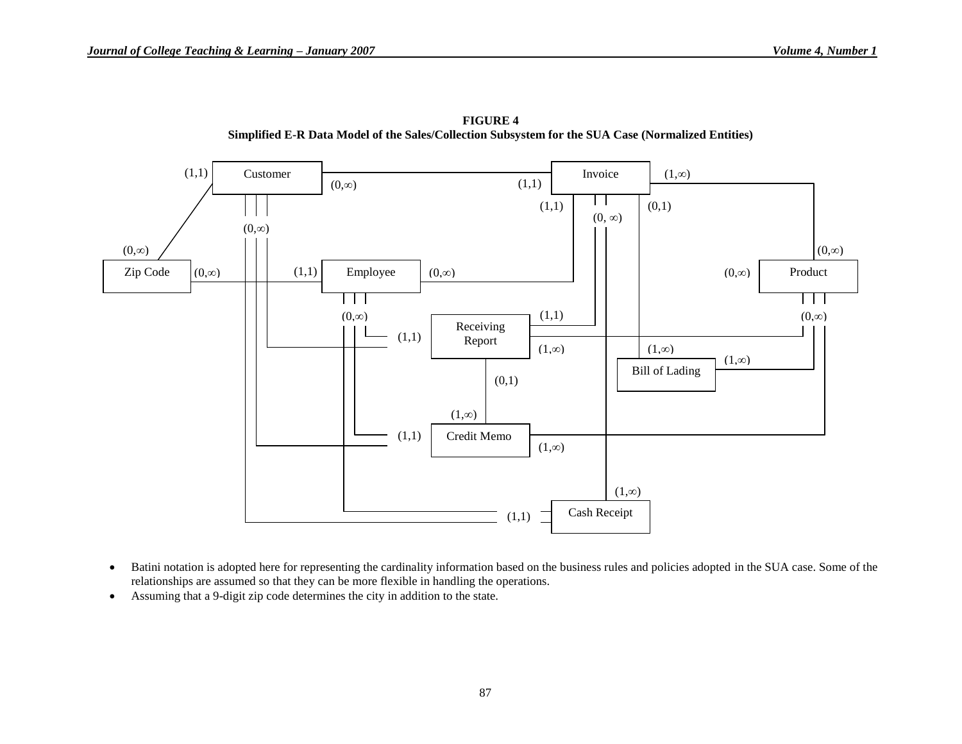

**FIGURE 4 Simplified E-R Data Model of the Sales/Collection Subsystem for the SUA Case (Normalized Entities)**

- Batini notation is adopted here for representing the cardinality information based on the business rules and policies adopted in the SUA case. Some of the relationships are assumed so that they can be more flexible in handling the operations.
- Assuming that a 9-digit zip code determines the city in addition to the state.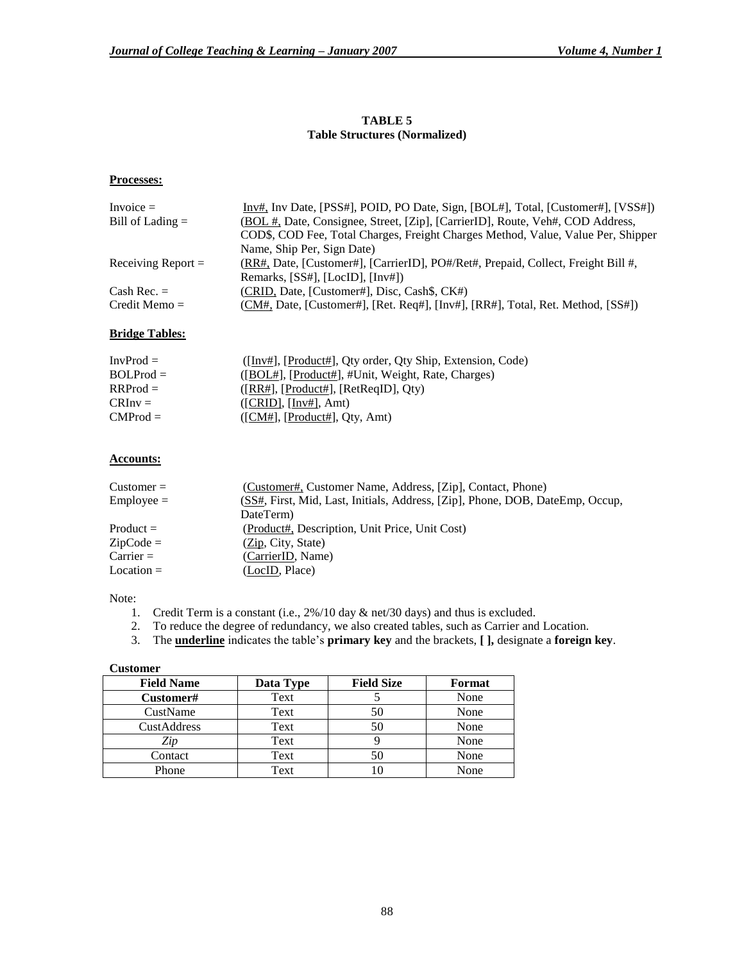## **TABLE 5 Table Structures (Normalized)**

## **Processes:**

| Invoice $=$          | Inv#, Inv Date, [PSS#], POID, PO Date, Sign, [BOL#], Total, [Customer#], [VSS#])  |
|----------------------|-----------------------------------------------------------------------------------|
| Bill of Lading $=$   | (BOL #, Date, Consignee, Street, [Zip], [CarrierID], Route, Veh#, COD Address,    |
|                      | COD\$, COD Fee, Total Charges, Freight Charges Method, Value, Value Per, Shipper  |
|                      | Name, Ship Per, Sign Date)                                                        |
| Receiving Report $=$ | (RR#, Date, [Customer#], [CarrierID], PO#/Ret#, Prepaid, Collect, Freight Bill #, |
|                      | Remarks, [SS#], [LocID], [Inv#])                                                  |
| Cash Rec. $=$        | (CRID, Date, [Customer#], Disc, Cash\$, CK#)                                      |
| $Credit$ Memo $=$    | (CM#, Date, [Customer#], [Ret. Req#], [Inv#], [RR#], Total, Ret. Method, [SS#])   |
|                      |                                                                                   |

## **Bridge Tables:**

| $InvProd =$ | ([Inv#], [Product#], Qty order, Qty Ship, Extension, Code) |
|-------------|------------------------------------------------------------|
| $BOLProd =$ | ([BOL#], [Product#], #Unit, Weight, Rate, Charges)         |
| $RRProd =$  | ([RR#], [Product#], [RetReqID], Oty)                       |
| $CRInv =$   | ( [CRID], [Inv#], Amt)                                     |
| $CMProd =$  | ([CM#], [Product#], Qty, Amt)                              |

## **Accounts:**

| $Customer =$ | (Customer#, Customer Name, Address, [Zip], Contact, Phone)                    |
|--------------|-------------------------------------------------------------------------------|
| $Emplove =$  | (SS#, First, Mid, Last, Initials, Address, [Zip], Phone, DOB, DateEmp, Occup, |
|              | DateTerm                                                                      |
| $Product =$  | (Product#, Description, Unit Price, Unit Cost)                                |
| $ZipCode =$  | (Zip, City, State)                                                            |
| $Carrier =$  | (CarrierID, Name)                                                             |
| $Location =$ | (LocID, Place)                                                                |

## Note:

- 1. Credit Term is a constant (i.e., 2%/10 day & net/30 days) and thus is excluded.
- 2. To reduce the degree of redundancy, we also created tables, such as Carrier and Location.
- 3. The **underline** indicates the table's **primary key** and the brackets, **[ ],** designate a **foreign key**.

## **Customer**

| <b>Field Name</b> | Data Type | <b>Field Size</b> | Format |
|-------------------|-----------|-------------------|--------|
| <b>Customer#</b>  | Text      |                   | None   |
| CustName          | Text      | 50                | None   |
| CustAddress       | Text      | 50                | None   |
| Zip               | Text      |                   | None   |
| Contact           | Text      | 50                | None   |
| Phone             | Text      |                   | None   |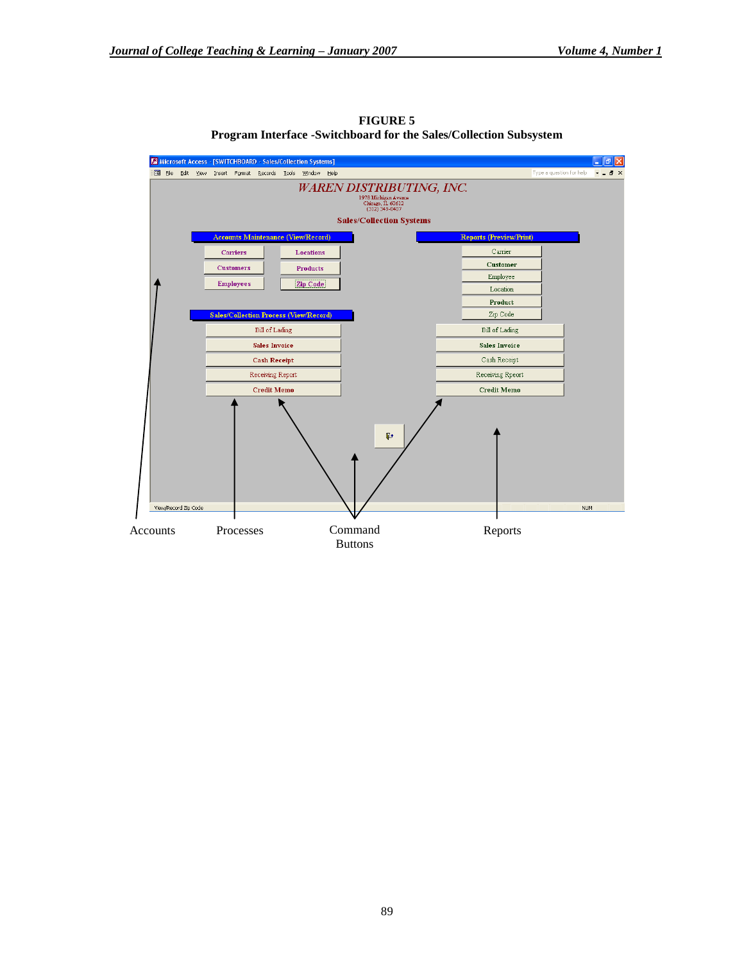

**FIGURE 5 Program Interface -Switchboard for the Sales/Collection Subsystem**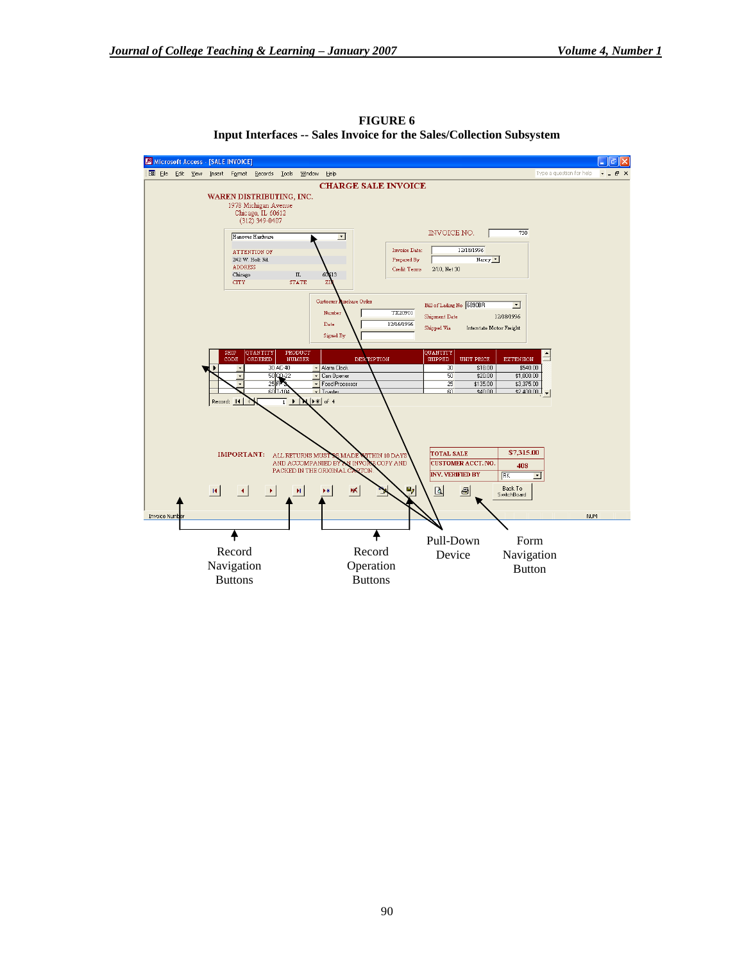

**FIGURE 6 Input Interfaces -- Sales Invoice for the Sales/Collection Subsystem**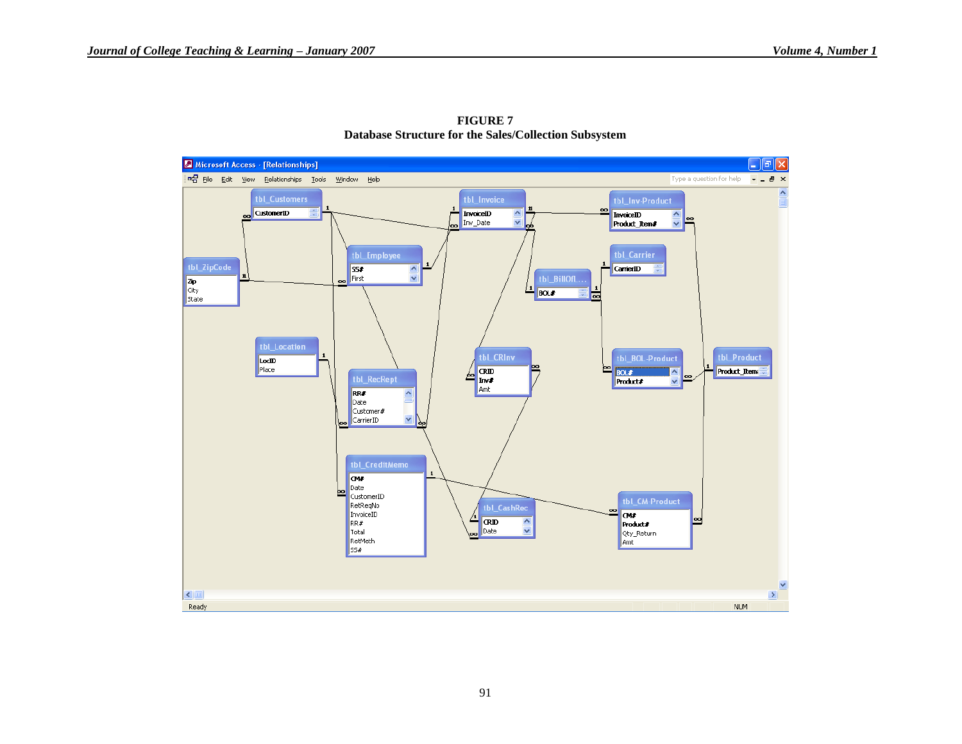

**FIGURE 7 Database Structure for the Sales/Collection Subsystem**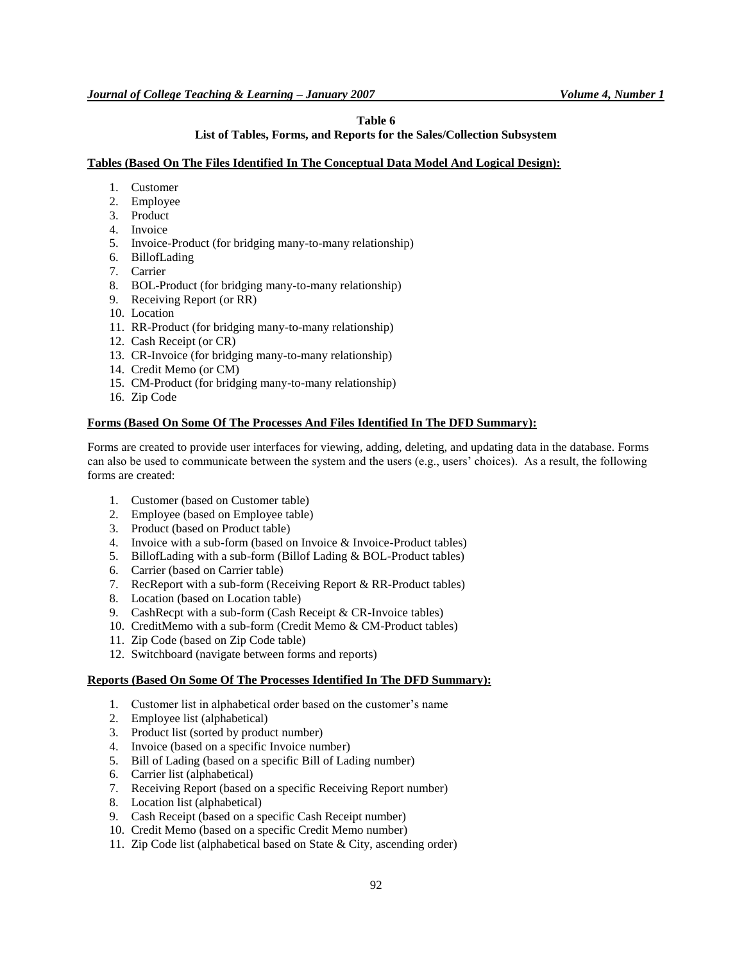## **Table 6**

## **List of Tables, Forms, and Reports for the Sales/Collection Subsystem**

#### **Tables (Based On The Files Identified In The Conceptual Data Model And Logical Design):**

- 1. Customer
- 2. Employee
- 3. Product
- 4. Invoice
- 5. Invoice-Product (for bridging many-to-many relationship)
- 6. BillofLading
- 7. Carrier
- 8. BOL-Product (for bridging many-to-many relationship)
- 9. Receiving Report (or RR)
- 10. Location
- 11. RR-Product (for bridging many-to-many relationship)
- 12. Cash Receipt (or CR)
- 13. CR-Invoice (for bridging many-to-many relationship)
- 14. Credit Memo (or CM)
- 15. CM-Product (for bridging many-to-many relationship)
- 16. Zip Code

## **Forms (Based On Some Of The Processes And Files Identified In The DFD Summary):**

Forms are created to provide user interfaces for viewing, adding, deleting, and updating data in the database. Forms can also be used to communicate between the system and the users (e.g., users' choices). As a result, the following forms are created:

- 1. Customer (based on Customer table)
- 2. Employee (based on Employee table)
- 3. Product (based on Product table)
- 4. Invoice with a sub-form (based on Invoice & Invoice-Product tables)
- 5. BillofLading with a sub-form (Billof Lading & BOL-Product tables)
- 6. Carrier (based on Carrier table)
- 7. RecReport with a sub-form (Receiving Report & RR-Product tables)
- 8. Location (based on Location table)
- 9. CashRecpt with a sub-form (Cash Receipt & CR-Invoice tables)
- 10. CreditMemo with a sub-form (Credit Memo & CM-Product tables)
- 11. Zip Code (based on Zip Code table)
- 12. Switchboard (navigate between forms and reports)

## **Reports (Based On Some Of The Processes Identified In The DFD Summary):**

- 1. Customer list in alphabetical order based on the customer's name
- 2. Employee list (alphabetical)
- 3. Product list (sorted by product number)
- 4. Invoice (based on a specific Invoice number)
- 5. Bill of Lading (based on a specific Bill of Lading number)
- 6. Carrier list (alphabetical)
- 7. Receiving Report (based on a specific Receiving Report number)
- 8. Location list (alphabetical)
- 9. Cash Receipt (based on a specific Cash Receipt number)
- 10. Credit Memo (based on a specific Credit Memo number)
- 11. Zip Code list (alphabetical based on State & City, ascending order)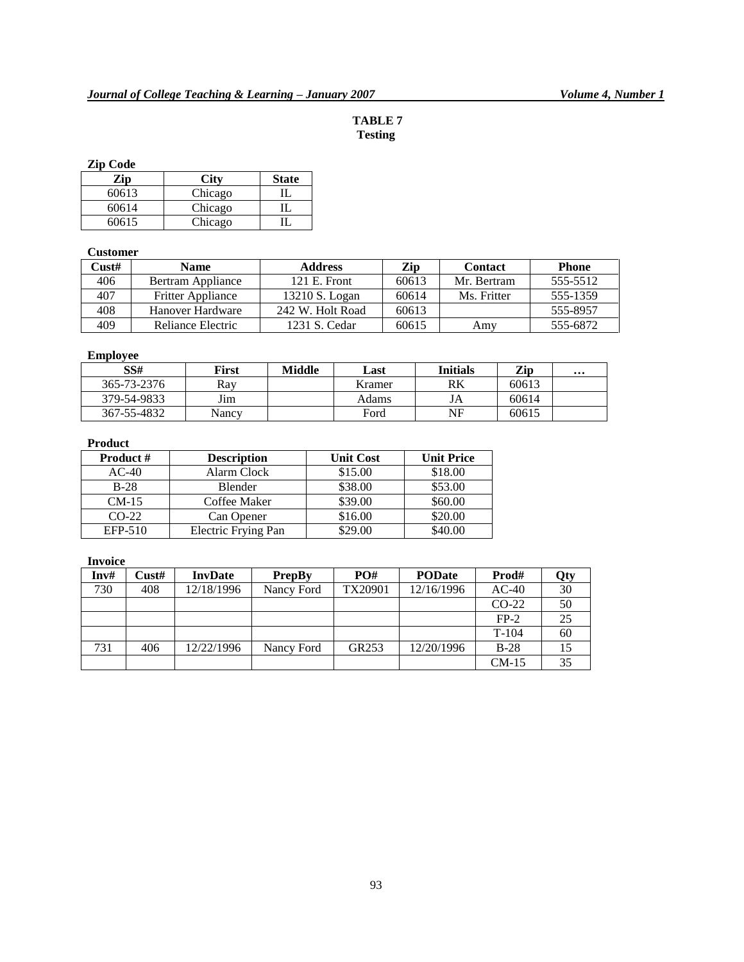## **TABLE 7 Testing**

## **Zip Code**

| Zip   |         | <b>State</b> |
|-------|---------|--------------|
| 60613 | Chicago |              |
| 60614 | Chicago |              |
| 60615 | Chicago |              |

## **Customer**

| Cust# | <b>Name</b>              | <b>Address</b>   | Zip   | <b>Contact</b> | <b>Phone</b> |
|-------|--------------------------|------------------|-------|----------------|--------------|
| 406   | Bertram Appliance        | $121$ E. Front   | 60613 | Mr. Bertram    | 555-5512     |
| 407   | <b>Fritter Appliance</b> | 13210 S. Logan   | 60614 | Ms. Fritter    | 555-1359     |
| 408   | Hanover Hardware         | 242 W. Holt Road | 60613 |                | 555-8957     |
| 409   | Reliance Electric        | 1231 S. Cedar    | 60615 | Amy            | 555-6872     |

## **Employee**

| SS#         | First | Middle | Last   | <b>Initials</b> | Zip   | $\cdots$ |
|-------------|-------|--------|--------|-----------------|-------|----------|
| 365-73-2376 | Rav   |        | Kramer | RK              | 60613 |          |
| 379-54-9833 | Jim   |        | Adams  | JA              | 60614 |          |
| 367-55-4832 | Nancv |        | Ford   | NF              | 60615 |          |

## **Product**

| <b>Product #</b> | <b>Description</b>  | <b>Unit Cost</b> | <b>Unit Price</b> |  |
|------------------|---------------------|------------------|-------------------|--|
| $AC-40$          | Alarm Clock         | \$15.00          | \$18.00           |  |
| $B-28$           | <b>Blender</b>      | \$38.00          | \$53.00           |  |
| $CM-15$          | Coffee Maker        | \$39.00          | \$60.00           |  |
| $CO-22$          | Can Opener          | \$16.00          | \$20.00           |  |
| EFP-510          | Electric Frying Pan | \$29.00          | \$40.00           |  |

## **Invoice**

| Inv# | Cust# | <b>InvDate</b> | <b>PrepBy</b> | PO#     | <b>PODate</b> | Prod#   | Qty |
|------|-------|----------------|---------------|---------|---------------|---------|-----|
| 730  | 408   | 12/18/1996     | Nancy Ford    | TX20901 | 12/16/1996    | $AC-40$ | 30  |
|      |       |                |               |         |               | $CO-22$ | 50  |
|      |       |                |               |         |               | $FP-2$  | 25  |
|      |       |                |               |         |               | $T-104$ | 60  |
| 731  | 406   | 12/22/1996     | Nancy Ford    | GR253   | 12/20/1996    | $B-28$  |     |
|      |       |                |               |         |               | $CM-15$ | 35  |